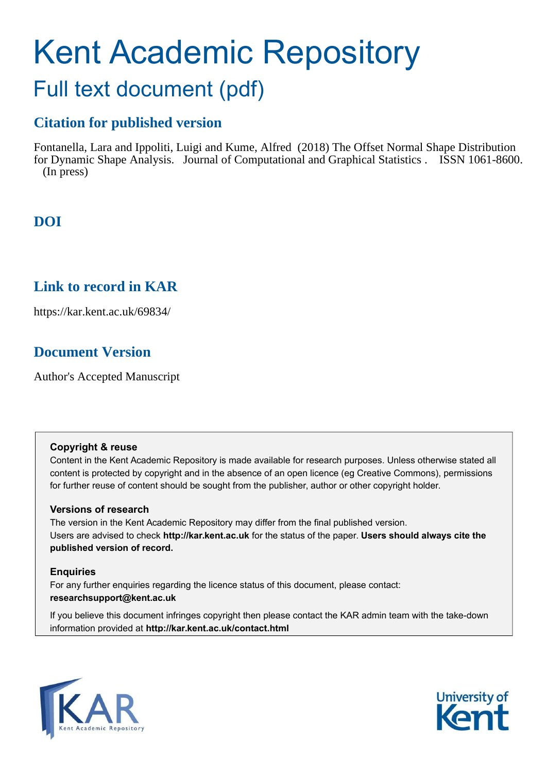# Kent Academic Repository

## Full text document (pdf)

## **Citation for published version**

Fontanella, Lara and Ippoliti, Luigi and Kume, Alfred (2018) The Offset Normal Shape Distribution for Dynamic Shape Analysis. Journal of Computational and Graphical Statistics . ISSN 1061-8600. (In press)

## **DOI**

## **Link to record in KAR**

https://kar.kent.ac.uk/69834/

## **Document Version**

Author's Accepted Manuscript

#### **Copyright & reuse**

Content in the Kent Academic Repository is made available for research purposes. Unless otherwise stated all content is protected by copyright and in the absence of an open licence (eg Creative Commons), permissions for further reuse of content should be sought from the publisher, author or other copyright holder.

#### **Versions of research**

The version in the Kent Academic Repository may differ from the final published version. Users are advised to check **http://kar.kent.ac.uk** for the status of the paper. **Users should always cite the published version of record.**

#### **Enquiries**

For any further enquiries regarding the licence status of this document, please contact: **researchsupport@kent.ac.uk**

If you believe this document infringes copyright then please contact the KAR admin team with the take-down information provided at **http://kar.kent.ac.uk/contact.html**



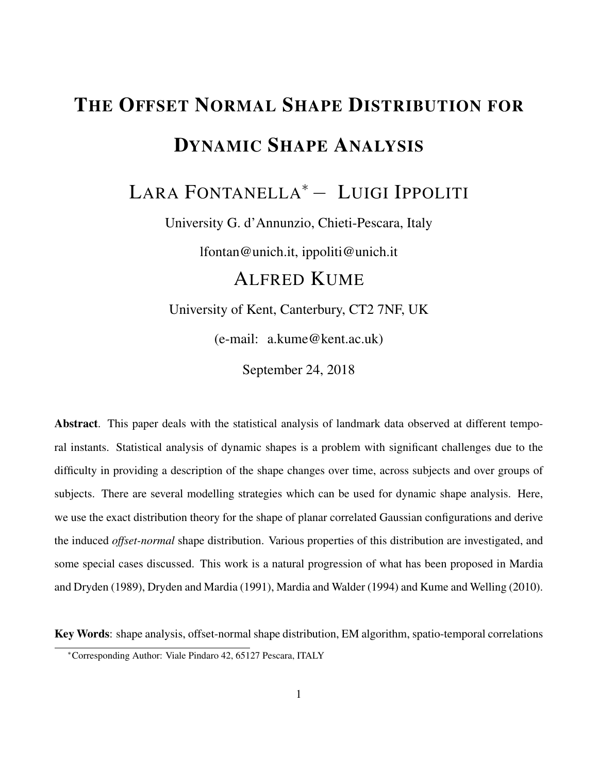## THE OFFSET NORMAL SHAPE DISTRIBUTION FOR DYNAMIC SHAPE ANALYSIS

## LARA FONTANELLA<sup>∗</sup>− LUIGI IPPOLITI

University G. d'Annunzio, Chieti-Pescara, Italy

lfontan@unich.it, ippoliti@unich.it

## ALFRED KUME

University of Kent, Canterbury, CT2 7NF, UK

(e-mail: a.kume@kent.ac.uk)

September 24, 2018

Abstract. This paper deals with the statistical analysis of landmark data observed at different temporal instants. Statistical analysis of dynamic shapes is a problem with significant challenges due to the difficulty in providing a description of the shape changes over time, across subjects and over groups of subjects. There are several modelling strategies which can be used for dynamic shape analysis. Here, we use the exact distribution theory for the shape of planar correlated Gaussian configurations and derive the induced *offset-normal* shape distribution. Various properties of this distribution are investigated, and some special cases discussed. This work is a natural progression of what has been proposed in Mardia and Dryden (1989), Dryden and Mardia (1991), Mardia and Walder (1994) and Kume and Welling (2010).

Key Words: shape analysis, offset-normal shape distribution, EM algorithm, spatio-temporal correlations

<sup>∗</sup>Corresponding Author: Viale Pindaro 42, 65127 Pescara, ITALY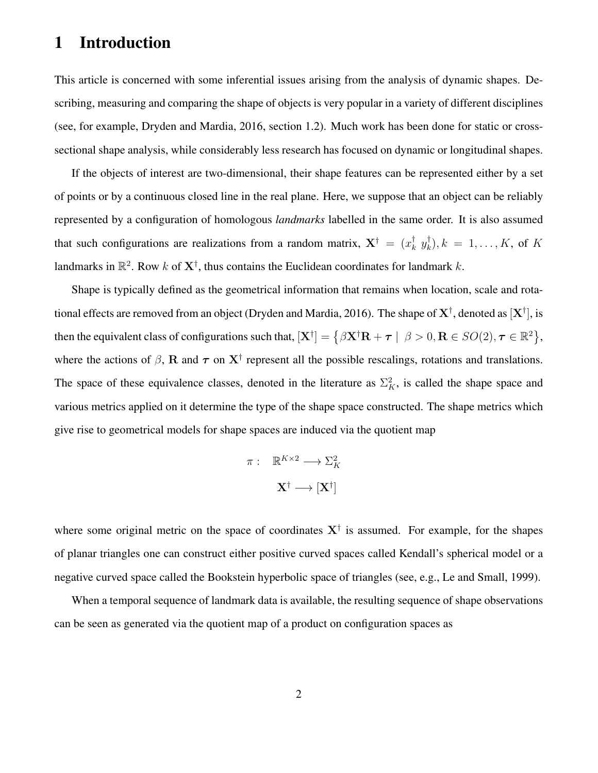#### 1 Introduction

This article is concerned with some inferential issues arising from the analysis of dynamic shapes. Describing, measuring and comparing the shape of objects is very popular in a variety of different disciplines (see, for example, Dryden and Mardia, 2016, section 1.2). Much work has been done for static or crosssectional shape analysis, while considerably less research has focused on dynamic or longitudinal shapes.

If the objects of interest are two-dimensional, their shape features can be represented either by a set of points or by a continuous closed line in the real plane. Here, we suppose that an object can be reliably represented by a configuration of homologous *landmarks* labelled in the same order. It is also assumed that such configurations are realizations from a random matrix,  $X^{\dagger} = (x_k^{\dagger})$  $_k^{\dagger}$   $y_k^{\dagger}$  $\binom{[n]}{k}, k = 1, \ldots, K$ , of  $K$ landmarks in  $\mathbb{R}^2$ . Row k of  $X^{\dagger}$ , thus contains the Euclidean coordinates for landmark k.

Shape is typically defined as the geometrical information that remains when location, scale and rotational effects are removed from an object (Dryden and Mardia, 2016). The shape of  $\bf X^\dagger$ , denoted as  $[\bf X^\dagger]$ , is then the equivalent class of configurations such that,  $[\mathbf{X}^{\dagger}] = \{ \beta \mathbf{X}^{\dagger} \mathbf{R} + \boldsymbol{\tau} \mid \beta > 0, \mathbf{R} \in SO(2), \boldsymbol{\tau} \in \mathbb{R}^2 \},\$ where the actions of  $\beta$ , R and  $\tau$  on  $X^{\dagger}$  represent all the possible rescalings, rotations and translations. The space of these equivalence classes, denoted in the literature as  $\Sigma_K^2$ , is called the shape space and various metrics applied on it determine the type of the shape space constructed. The shape metrics which give rise to geometrical models for shape spaces are induced via the quotient map

$$
\pi: \quad \mathbb{R}^{K \times 2} \longrightarrow \Sigma_K^2
$$

$$
\mathbf{X}^\dagger \longrightarrow [\mathbf{X}^\dagger]
$$

where some original metric on the space of coordinates  $X^{\dagger}$  is assumed. For example, for the shapes of planar triangles one can construct either positive curved spaces called Kendall's spherical model or a negative curved space called the Bookstein hyperbolic space of triangles (see, e.g., Le and Small, 1999).

When a temporal sequence of landmark data is available, the resulting sequence of shape observations can be seen as generated via the quotient map of a product on configuration spaces as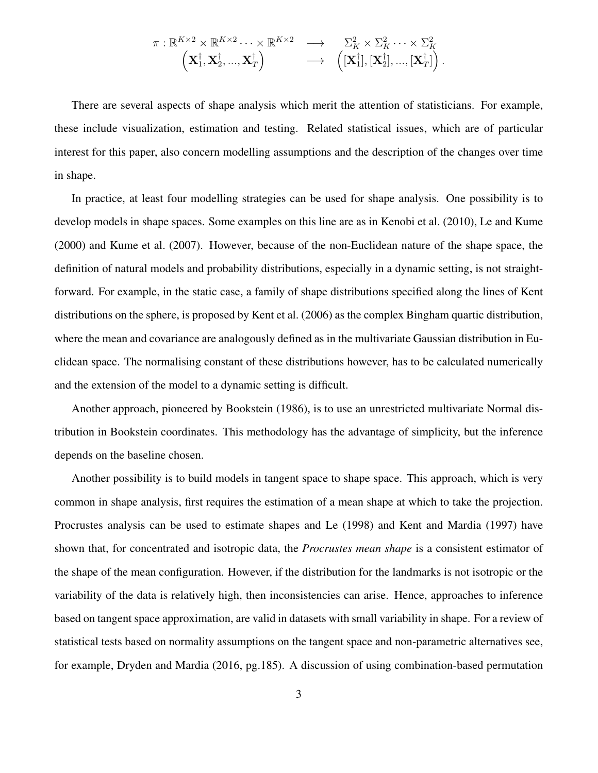$$
\pi: \mathbb{R}^{K \times 2} \times \mathbb{R}^{K \times 2} \cdots \times \mathbb{R}^{K \times 2} \longrightarrow \sum_{K}^{2} \times \Sigma_{K}^{2} \cdots \times \Sigma_{K}^{2} \n\left(\mathbf{X}_{1}^{\dagger}, \mathbf{X}_{2}^{\dagger}, \dots, \mathbf{X}_{T}^{\dagger}\right) \longrightarrow \left([\mathbf{X}_{1}^{\dagger}], [\mathbf{X}_{2}^{\dagger}], \dots, [\mathbf{X}_{T}^{\dagger}]\right).
$$

There are several aspects of shape analysis which merit the attention of statisticians. For example, these include visualization, estimation and testing. Related statistical issues, which are of particular interest for this paper, also concern modelling assumptions and the description of the changes over time in shape.

In practice, at least four modelling strategies can be used for shape analysis. One possibility is to develop models in shape spaces. Some examples on this line are as in Kenobi et al. (2010), Le and Kume (2000) and Kume et al. (2007). However, because of the non-Euclidean nature of the shape space, the definition of natural models and probability distributions, especially in a dynamic setting, is not straightforward. For example, in the static case, a family of shape distributions specified along the lines of Kent distributions on the sphere, is proposed by Kent et al. (2006) as the complex Bingham quartic distribution, where the mean and covariance are analogously defined as in the multivariate Gaussian distribution in Euclidean space. The normalising constant of these distributions however, has to be calculated numerically and the extension of the model to a dynamic setting is difficult.

Another approach, pioneered by Bookstein (1986), is to use an unrestricted multivariate Normal distribution in Bookstein coordinates. This methodology has the advantage of simplicity, but the inference depends on the baseline chosen.

Another possibility is to build models in tangent space to shape space. This approach, which is very common in shape analysis, first requires the estimation of a mean shape at which to take the projection. Procrustes analysis can be used to estimate shapes and Le (1998) and Kent and Mardia (1997) have shown that, for concentrated and isotropic data, the *Procrustes mean shape* is a consistent estimator of the shape of the mean configuration. However, if the distribution for the landmarks is not isotropic or the variability of the data is relatively high, then inconsistencies can arise. Hence, approaches to inference based on tangent space approximation, are valid in datasets with small variability in shape. For a review of statistical tests based on normality assumptions on the tangent space and non-parametric alternatives see, for example, Dryden and Mardia (2016, pg.185). A discussion of using combination-based permutation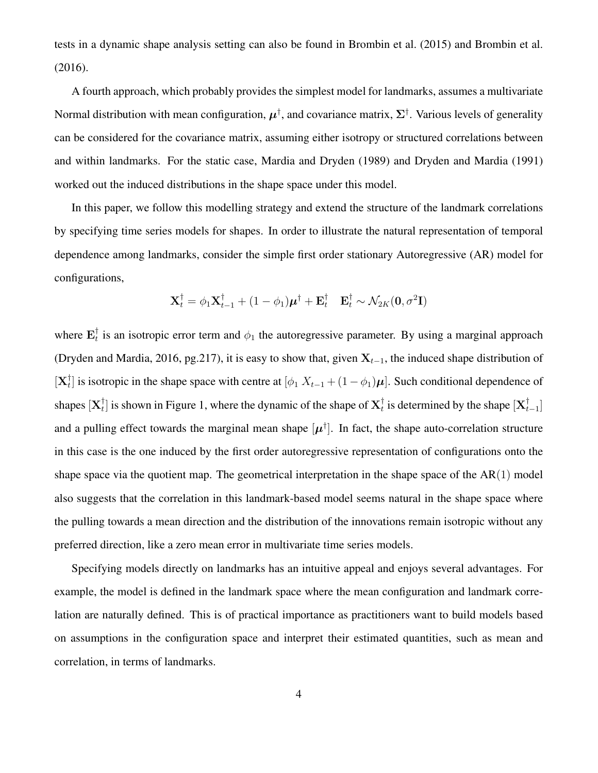tests in a dynamic shape analysis setting can also be found in Brombin et al. (2015) and Brombin et al. (2016).

A fourth approach, which probably provides the simplest model for landmarks, assumes a multivariate Normal distribution with mean configuration,  $\mu^\dagger$ , and covariance matrix,  $\Sigma^\dagger$ . Various levels of generality can be considered for the covariance matrix, assuming either isotropy or structured correlations between and within landmarks. For the static case, Mardia and Dryden (1989) and Dryden and Mardia (1991) worked out the induced distributions in the shape space under this model.

In this paper, we follow this modelling strategy and extend the structure of the landmark correlations by specifying time series models for shapes. In order to illustrate the natural representation of temporal dependence among landmarks, consider the simple first order stationary Autoregressive (AR) model for configurations,

$$
\mathbf{X}_{t}^{\dagger} = \phi_{1} \mathbf{X}_{t-1}^{\dagger} + (1 - \phi_{1}) \boldsymbol{\mu}^{\dagger} + \mathbf{E}_{t}^{\dagger} \quad \mathbf{E}_{t}^{\dagger} \sim \mathcal{N}_{2K}(\mathbf{0}, \sigma^{2} \mathbf{I})
$$

where  $\mathbf{E}_{t}^{\dagger}$  $_t^{\dagger}$  is an isotropic error term and  $\phi_1$  the autoregressive parameter. By using a marginal approach (Dryden and Mardia, 2016, pg.217), it is easy to show that, given  $X_{t-1}$ , the induced shape distribution of  $[\mathbf{X}_t^\dagger$  $_{t}^{T}$ ] is isotropic in the shape space with centre at  $[\phi_1 X_{t-1} + (1 - \phi_1)\boldsymbol{\mu}]$ . Such conditional dependence of shapes  $[\mathbf{X}_t^\dagger]$  $_t^\dagger$ ] is shown in Figure 1, where the dynamic of the shape of  $\mathbf{X}_t^\dagger$  $_t^{\dagger}$  is determined by the shape  $[\mathbf{X}_t^{\dagger}]$  $_{t-1}^{\dagger}$ ] and a pulling effect towards the marginal mean shape  $[\mu^{\dagger}]$ . In fact, the shape auto-correlation structure in this case is the one induced by the first order autoregressive representation of configurations onto the shape space via the quotient map. The geometrical interpretation in the shape space of the  $AR(1)$  model also suggests that the correlation in this landmark-based model seems natural in the shape space where the pulling towards a mean direction and the distribution of the innovations remain isotropic without any preferred direction, like a zero mean error in multivariate time series models.

Specifying models directly on landmarks has an intuitive appeal and enjoys several advantages. For example, the model is defined in the landmark space where the mean configuration and landmark correlation are naturally defined. This is of practical importance as practitioners want to build models based on assumptions in the configuration space and interpret their estimated quantities, such as mean and correlation, in terms of landmarks.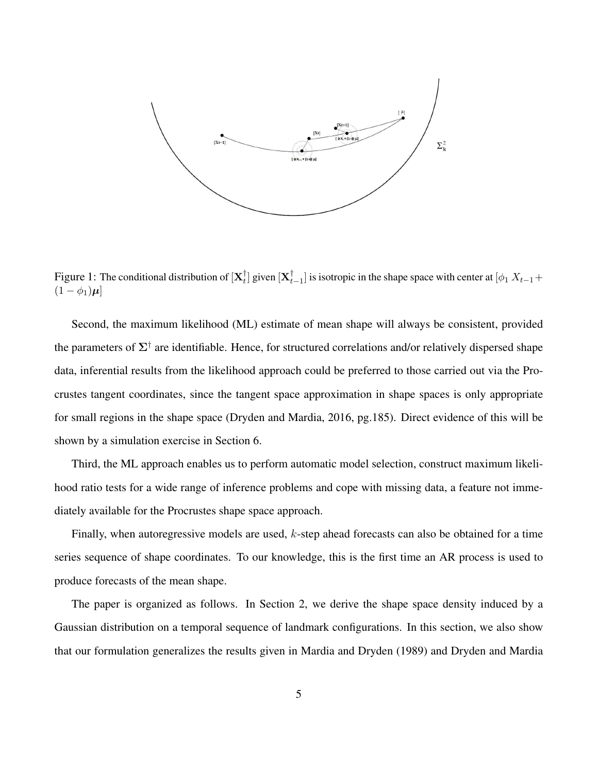

Figure 1: The conditional distribution of  $[\mathbf{X}_t^\dagger]$  $_t^{\dagger}$ ] given  $[\mathbf{X}_t^{\dagger}]$  $_{t-1}^{+}$ ] is isotropic in the shape space with center at [ $\phi_1 X_{t-1}$  +  $(1 - \phi_1)\mu$ 

Second, the maximum likelihood (ML) estimate of mean shape will always be consistent, provided the parameters of  $\Sigma^{\dagger}$  are identifiable. Hence, for structured correlations and/or relatively dispersed shape data, inferential results from the likelihood approach could be preferred to those carried out via the Procrustes tangent coordinates, since the tangent space approximation in shape spaces is only appropriate for small regions in the shape space (Dryden and Mardia, 2016, pg.185). Direct evidence of this will be shown by a simulation exercise in Section 6.

Third, the ML approach enables us to perform automatic model selection, construct maximum likelihood ratio tests for a wide range of inference problems and cope with missing data, a feature not immediately available for the Procrustes shape space approach.

Finally, when autoregressive models are used, k-step ahead forecasts can also be obtained for a time series sequence of shape coordinates. To our knowledge, this is the first time an AR process is used to produce forecasts of the mean shape.

The paper is organized as follows. In Section 2, we derive the shape space density induced by a Gaussian distribution on a temporal sequence of landmark configurations. In this section, we also show that our formulation generalizes the results given in Mardia and Dryden (1989) and Dryden and Mardia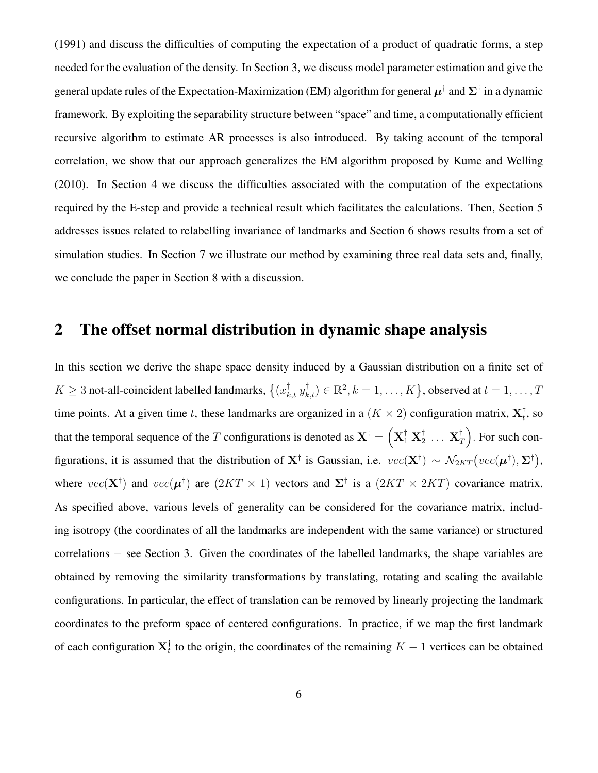(1991) and discuss the difficulties of computing the expectation of a product of quadratic forms, a step needed for the evaluation of the density. In Section 3, we discuss model parameter estimation and give the general update rules of the Expectation-Maximization (EM) algorithm for general  $\mu^{\dagger}$  and  $\Sigma^{\dagger}$  in a dynamic framework. By exploiting the separability structure between "space" and time, a computationally efficient recursive algorithm to estimate AR processes is also introduced. By taking account of the temporal correlation, we show that our approach generalizes the EM algorithm proposed by Kume and Welling (2010). In Section 4 we discuss the difficulties associated with the computation of the expectations required by the E-step and provide a technical result which facilitates the calculations. Then, Section 5 addresses issues related to relabelling invariance of landmarks and Section 6 shows results from a set of simulation studies. In Section 7 we illustrate our method by examining three real data sets and, finally, we conclude the paper in Section 8 with a discussion.

#### 2 The offset normal distribution in dynamic shape analysis

In this section we derive the shape space density induced by a Gaussian distribution on a finite set of  $K\geq 3$  not-all-coincident labelled landmarks,  $\{(x_{k,t}^{\dagger}, y_{k,t}^{\dagger}) \in \mathbb{R}^2, k=1,\ldots,K\}$ , observed at  $t=1,\ldots,T$ time points. At a given time t, these landmarks are organized in a  $(K \times 2)$  configuration matrix,  $\mathbf{X}_t^{\dagger}$  $_t^{\dagger}$ , so that the temporal sequence of the  $T$  configurations is denoted as  $\mathbf{X}^\dagger = \left( \mathbf{X}^\dagger_1 \ \mathbf{X}^\dagger_2 \right)$  $_2^\dagger$  ...  $\mathbf{X}_T^\dagger$  $T(T)$ . For such configurations, it is assumed that the distribution of  $X^{\dagger}$  is Gaussian, i.e.  $vec(X^{\dagger}) \sim \mathcal{N}_{2KT}(vec(\mu^{\dagger}), \Sigma^{\dagger})$ , where  $vec(\mathbf{X}^{\dagger})$  and  $vec(\mathbf{\mu}^{\dagger})$  are  $(2KT \times 1)$  vectors and  $\Sigma^{\dagger}$  is a  $(2KT \times 2KT)$  covariance matrix. As specified above, various levels of generality can be considered for the covariance matrix, including isotropy (the coordinates of all the landmarks are independent with the same variance) or structured correlations − see Section 3. Given the coordinates of the labelled landmarks, the shape variables are obtained by removing the similarity transformations by translating, rotating and scaling the available configurations. In particular, the effect of translation can be removed by linearly projecting the landmark coordinates to the preform space of centered configurations. In practice, if we map the first landmark of each configuration  $\mathbf{X}_t^{\dagger}$  $_t^{\dagger}$  to the origin, the coordinates of the remaining  $K - 1$  vertices can be obtained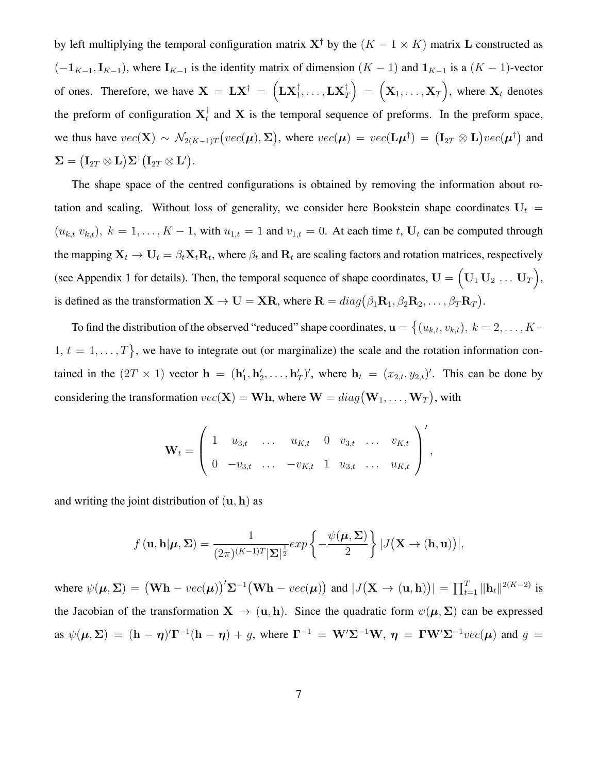by left multiplying the temporal configuration matrix  $X^{\dagger}$  by the  $(K - 1 \times K)$  matrix L constructed as  $(-1_{K-1}, I_{K-1})$ , where  $I_{K-1}$  is the identity matrix of dimension  $(K-1)$  and  $1_{K-1}$  is a  $(K-1)$ -vector of ones. Therefore, we have  $\mathbf{X} = \mathbf{L}\mathbf{X}^{\dagger} = \left( \mathbf{L}\mathbf{X}^{\dagger}_1, \dots, \mathbf{L}\mathbf{X}^{\dagger}_T \right) = \left( \mathbf{X}_1, \dots, \mathbf{X}_T \right)$ , where  $\mathbf{X}_t$  denotes the preform of configuration  $X_t^{\dagger}$  $t<sub>t</sub>$  and **X** is the temporal sequence of preforms. In the preform space, we thus have  $vec(\mathbf{X}) \sim \mathcal{N}_{2(K-1)T}(vec(\boldsymbol{\mu}), \boldsymbol{\Sigma})$ , where  $vec(\boldsymbol{\mu}) = vec(\mathbf{L}\boldsymbol{\mu}^{\dagger}) = (\mathbf{I}_{2T} \otimes \mathbf{L})vec(\boldsymbol{\mu}^{\dagger})$  and  $\mathbf{\Sigma} = \big(\mathbf{I}_{2T} \otimes \mathbf{L} \big) \mathbf{\Sigma}^\dagger \big(\mathbf{I}_{2T} \otimes \mathbf{L}' \big).$ 

The shape space of the centred configurations is obtained by removing the information about rotation and scaling. Without loss of generality, we consider here Bookstein shape coordinates  $U_t =$  $(u_{k,t} v_{k,t}), k = 1, \ldots, K-1$ , with  $u_{1,t} = 1$  and  $v_{1,t} = 0$ . At each time t,  $U_t$  can be computed through the mapping  $X_t \to U_t = \beta_t X_t R_t$ , where  $\beta_t$  and  $R_t$  are scaling factors and rotation matrices, respectively (see Appendix 1 for details). Then, the temporal sequence of shape coordinates,  $\mathbf{U} = (\mathbf{U}_1 \mathbf{U}_2 \dots \mathbf{U}_T)$ , is defined as the transformation  $\mathbf{X} \to \mathbf{U} = \mathbf{X}\mathbf{R}$ , where  $\mathbf{R} = diag(\beta_1 \mathbf{R}_1, \beta_2 \mathbf{R}_2, \dots, \beta_T \mathbf{R}_T)$ .

To find the distribution of the observed "reduced" shape coordinates,  $\mathbf{u} = \{(u_{k,t}, v_{k,t}), k = 2, \dots, K-\}$  $1, t = 1, \ldots, T$ , we have to integrate out (or marginalize) the scale and the rotation information contained in the  $(2T \times 1)$  vector  $\mathbf{h} = (\mathbf{h}'_1, \mathbf{h}'_2, \dots, \mathbf{h}'_T)'$ , where  $\mathbf{h}_t = (x_{2,t}, y_{2,t})'$ . This can be done by considering the transformation  $vec(\mathbf{X}) = \mathbf{W}\mathbf{h}$ , where  $\mathbf{W} = diag(\mathbf{W}_1, \dots, \mathbf{W}_T)$ , with

$$
\mathbf{W}_t = \left( \begin{array}{ccccccccc} 1 & u_{3,t} & \dots & u_{K,t} & 0 & v_{3,t} & \dots & v_{K,t} \\ 0 & -v_{3,t} & \dots & -v_{K,t} & 1 & u_{3,t} & \dots & u_{K,t} \end{array} \right)',
$$

and writing the joint distribution of  $(u, h)$  as

$$
f(\mathbf{u}, \mathbf{h}|\boldsymbol{\mu}, \boldsymbol{\Sigma}) = \frac{1}{(2\pi)^{(K-1)T}|\boldsymbol{\Sigma}|^{\frac{1}{2}}} exp\left\{-\frac{\psi(\boldsymbol{\mu}, \boldsymbol{\Sigma})}{2}\right\} |J(\mathbf{X} \to (\mathbf{h}, \mathbf{u}))|,
$$

where  $\psi(\mu, \Sigma) = (\mathbf{W}\mathbf{h} - vec(\mu))' \Sigma^{-1} (\mathbf{W}\mathbf{h} - vec(\mu))$  and  $|J(\mathbf{X} \to (\mathbf{u}, \mathbf{h}))| = \prod_{t=1}^{T} ||\mathbf{h}_t||^{2(K-2)}$  is the Jacobian of the transformation  $X \to (u, h)$ . Since the quadratic form  $\psi(\mu, \Sigma)$  can be expressed as  $\psi(\mu, \Sigma) = (h - \eta)T^{-1}(h - \eta) + g$ , where  $\Gamma^{-1} = W'\Sigma^{-1}W$ ,  $\eta = \Gamma W'\Sigma^{-1}vec(\mu)$  and  $g =$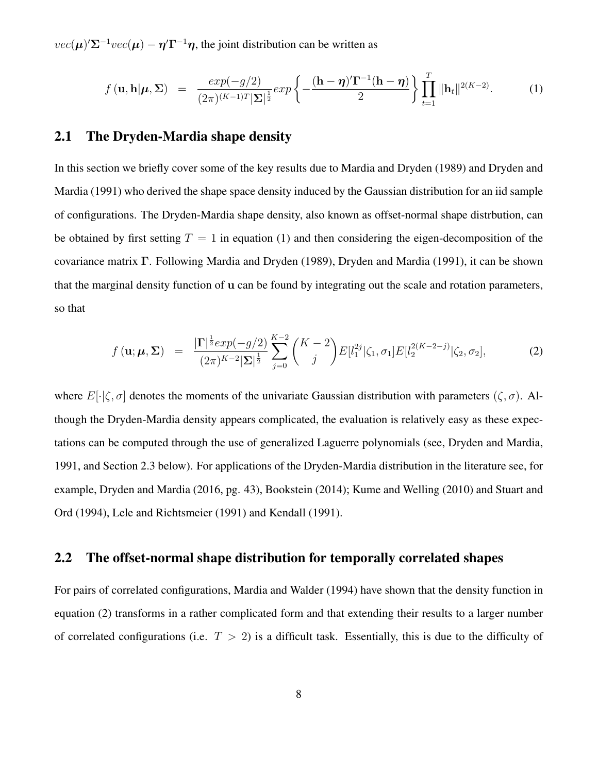$vec(\mu) \Sigma^{-1}vec(\mu) - \eta' \Gamma^{-1} \eta$ , the joint distribution can be written as

$$
f(\mathbf{u}, \mathbf{h}|\boldsymbol{\mu}, \boldsymbol{\Sigma}) = \frac{exp(-g/2)}{(2\pi)^{(K-1)T}|\boldsymbol{\Sigma}|^{\frac{1}{2}}} exp\left\{-\frac{(\mathbf{h} - \boldsymbol{\eta})'\boldsymbol{\Gamma}^{-1}(\mathbf{h} - \boldsymbol{\eta})}{2}\right\} \prod_{t=1}^{T} ||\mathbf{h}_t||^{2(K-2)}.
$$
 (1)

#### 2.1 The Dryden-Mardia shape density

In this section we briefly cover some of the key results due to Mardia and Dryden (1989) and Dryden and Mardia (1991) who derived the shape space density induced by the Gaussian distribution for an iid sample of configurations. The Dryden-Mardia shape density, also known as offset-normal shape distrbution, can be obtained by first setting  $T = 1$  in equation (1) and then considering the eigen-decomposition of the covariance matrix Γ. Following Mardia and Dryden (1989), Dryden and Mardia (1991), it can be shown that the marginal density function of u can be found by integrating out the scale and rotation parameters, so that

$$
f(\mathbf{u}; \boldsymbol{\mu}, \boldsymbol{\Sigma}) = \frac{\left|\Gamma\right|^{\frac{1}{2}} exp(-g/2)}{(2\pi)^{K-2} |\boldsymbol{\Sigma}|^{\frac{1}{2}}} \sum_{j=0}^{K-2} {K-2 \choose j} E[l_1^{2j}|\zeta_1, \sigma_1] E[l_2^{2(K-2-j)}|\zeta_2, \sigma_2], \tag{2}
$$

where  $E[\cdot|\zeta,\sigma]$  denotes the moments of the univariate Gaussian distribution with parameters  $(\zeta,\sigma)$ . Although the Dryden-Mardia density appears complicated, the evaluation is relatively easy as these expectations can be computed through the use of generalized Laguerre polynomials (see, Dryden and Mardia, 1991, and Section 2.3 below). For applications of the Dryden-Mardia distribution in the literature see, for example, Dryden and Mardia (2016, pg. 43), Bookstein (2014); Kume and Welling (2010) and Stuart and Ord (1994), Lele and Richtsmeier (1991) and Kendall (1991).

#### 2.2 The offset-normal shape distribution for temporally correlated shapes

For pairs of correlated configurations, Mardia and Walder (1994) have shown that the density function in equation (2) transforms in a rather complicated form and that extending their results to a larger number of correlated configurations (i.e.  $T > 2$ ) is a difficult task. Essentially, this is due to the difficulty of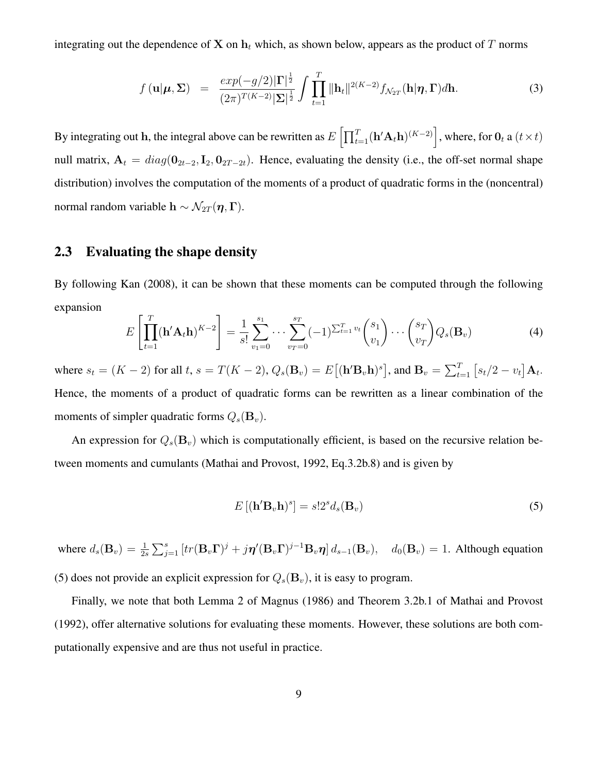integrating out the dependence of X on  $h_t$  which, as shown below, appears as the product of T norms

$$
f(\mathbf{u}|\boldsymbol{\mu},\boldsymbol{\Sigma}) = \frac{exp(-g/2)|\boldsymbol{\Gamma}|^{\frac{1}{2}}}{(2\pi)^{T(K-2)}|\boldsymbol{\Sigma}|^{\frac{1}{2}}} \int \prod_{t=1}^{T} ||\mathbf{h}_t||^{2(K-2)} f_{\mathcal{N}_{2T}}(\mathbf{h}|\boldsymbol{\eta},\boldsymbol{\Gamma}) d\mathbf{h}.
$$
 (3)

By integrating out h, the integral above can be rewritten as  $E\left[\prod_{t=1}^T (\mathbf{h}'\mathbf{A}_t\mathbf{h})^{(K-2)}\right]$ , where, for  $\mathbf{0}_t$  a  $(t \times t)$ null matrix,  $A_t = diag(\mathbf{0}_{2t-2}, \mathbf{I}_2, \mathbf{0}_{2T-2t})$ . Hence, evaluating the density (i.e., the off-set normal shape distribution) involves the computation of the moments of a product of quadratic forms in the (noncentral) normal random variable h  $\sim \mathcal{N}_{2T}(\eta, \Gamma)$ .

#### 2.3 Evaluating the shape density

By following Kan (2008), it can be shown that these moments can be computed through the following expansion

$$
E\left[\prod_{t=1}^{T}(\mathbf{h}'\mathbf{A}_t\mathbf{h})^{K-2}\right] = \frac{1}{s!} \sum_{v_1=0}^{s_1} \cdots \sum_{v_T=0}^{s_T}(-1)^{\sum_{t=1}^{T}v_t} \binom{s_1}{v_1} \cdots \binom{s_T}{v_T} Q_s(\mathbf{B}_v) \tag{4}
$$

where  $s_t = (K - 2)$  for all  $t, s = T(K - 2), Q_s(\mathbf{B}_v) = E[(\mathbf{h}' \mathbf{B}_v \mathbf{h})^s]$ , and  $\mathbf{B}_v = \sum_{t=1}^T [s_t/2 - v_t] \mathbf{A}_t$ . Hence, the moments of a product of quadratic forms can be rewritten as a linear combination of the moments of simpler quadratic forms  $Q_s(\mathbf{B}_v)$ .

An expression for  $Q_s(\mathbf{B}_v)$  which is computationally efficient, is based on the recursive relation between moments and cumulants (Mathai and Provost, 1992, Eq.3.2b.8) and is given by

$$
E\left[ (\mathbf{h}'\mathbf{B}_v\mathbf{h})^s \right] = s!2^s d_s(\mathbf{B}_v) \tag{5}
$$

where  $d_s(\mathbf{B}_v) = \frac{1}{2s} \sum_{j=1}^s [tr(\mathbf{B}_v \mathbf{\Gamma})^j + j\boldsymbol{\eta}'(\mathbf{B}_v \mathbf{\Gamma})^{j-1} \mathbf{B}_v \boldsymbol{\eta}] d_{s-1}(\mathbf{B}_v), \quad d_0(\mathbf{B}_v) = 1$ . Although equation (5) does not provide an explicit expression for  $Q_s(\mathbf{B}_v)$ , it is easy to program.

Finally, we note that both Lemma 2 of Magnus (1986) and Theorem 3.2b.1 of Mathai and Provost (1992), offer alternative solutions for evaluating these moments. However, these solutions are both computationally expensive and are thus not useful in practice.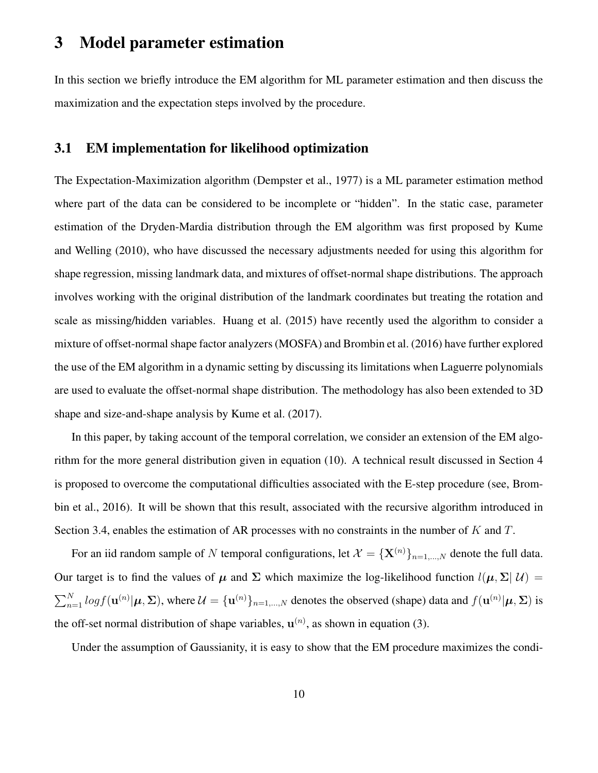## 3 Model parameter estimation

In this section we briefly introduce the EM algorithm for ML parameter estimation and then discuss the maximization and the expectation steps involved by the procedure.

#### 3.1 EM implementation for likelihood optimization

The Expectation-Maximization algorithm (Dempster et al., 1977) is a ML parameter estimation method where part of the data can be considered to be incomplete or "hidden". In the static case, parameter estimation of the Dryden-Mardia distribution through the EM algorithm was first proposed by Kume and Welling (2010), who have discussed the necessary adjustments needed for using this algorithm for shape regression, missing landmark data, and mixtures of offset-normal shape distributions. The approach involves working with the original distribution of the landmark coordinates but treating the rotation and scale as missing/hidden variables. Huang et al. (2015) have recently used the algorithm to consider a mixture of offset-normal shape factor analyzers (MOSFA) and Brombin et al. (2016) have further explored the use of the EM algorithm in a dynamic setting by discussing its limitations when Laguerre polynomials are used to evaluate the offset-normal shape distribution. The methodology has also been extended to 3D shape and size-and-shape analysis by Kume et al. (2017).

In this paper, by taking account of the temporal correlation, we consider an extension of the EM algorithm for the more general distribution given in equation (10). A technical result discussed in Section 4 is proposed to overcome the computational difficulties associated with the E-step procedure (see, Brombin et al., 2016). It will be shown that this result, associated with the recursive algorithm introduced in Section 3.4, enables the estimation of AR processes with no constraints in the number of K and T.

For an iid random sample of N temporal configurations, let  $\mathcal{X} = {\{\mathbf{X}^{(n)}\}}_{n=1,\dots,N}$  denote the full data. Our target is to find the values of  $\mu$  and  $\Sigma$  which maximize the log-likelihood function  $l(\mu, \Sigma | \mathcal{U})$  =  $\sum_{n=1}^{N} log f(\mathbf{u}^{(n)} | \boldsymbol{\mu}, \boldsymbol{\Sigma})$ , where  $\mathcal{U} = {\mathbf{u}^{(n)}}_{n=1,\dots,N}$  denotes the observed (shape) data and  $f(\mathbf{u}^{(n)} | \boldsymbol{\mu}, \boldsymbol{\Sigma})$  is the off-set normal distribution of shape variables,  $\mathbf{u}^{(n)}$ , as shown in equation (3).

Under the assumption of Gaussianity, it is easy to show that the EM procedure maximizes the condi-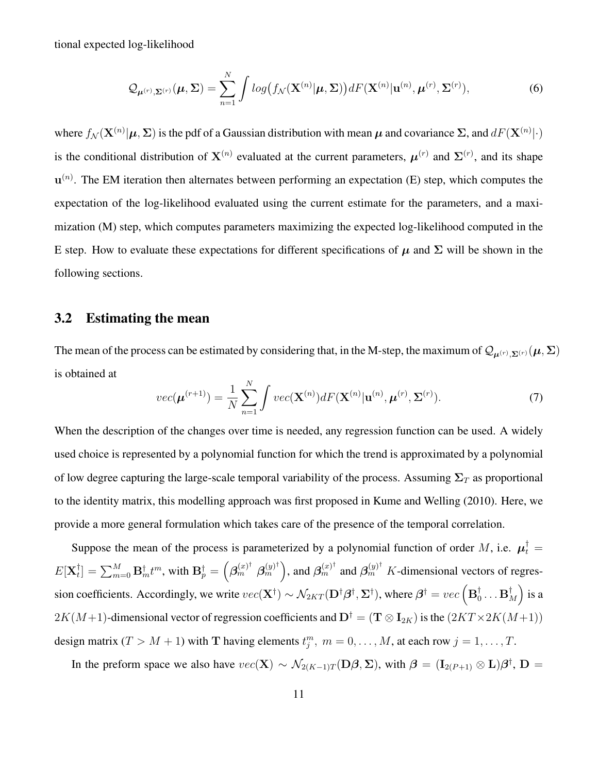tional expected log-likelihood

$$
\mathcal{Q}_{\boldsymbol{\mu}^{(r)},\boldsymbol{\Sigma}^{(r)}}(\boldsymbol{\mu},\boldsymbol{\Sigma})=\sum_{n=1}^N\int\log\bigl(f_{\mathcal{N}}(\mathbf{X}^{(n)}|\boldsymbol{\mu},\boldsymbol{\Sigma})\bigr)dF(\mathbf{X}^{(n)}|\mathbf{u}^{(n)},\boldsymbol{\mu}^{(r)},\boldsymbol{\Sigma}^{(r)}),
$$
(6)

where  $f_N(\mathbf{X}^{(n)}|\mu,\Sigma)$  is the pdf of a Gaussian distribution with mean  $\mu$  and covariance  $\Sigma$ , and  $dF(\mathbf{X}^{(n)}|\cdot)$ is the conditional distribution of  $X^{(n)}$  evaluated at the current parameters,  $\mu^{(r)}$  and  $\Sigma^{(r)}$ , and its shape  $\mathbf{u}^{(n)}$ . The EM iteration then alternates between performing an expectation (E) step, which computes the expectation of the log-likelihood evaluated using the current estimate for the parameters, and a maximization (M) step, which computes parameters maximizing the expected log-likelihood computed in the E step. How to evaluate these expectations for different specifications of  $\mu$  and  $\Sigma$  will be shown in the following sections.

#### 3.2 Estimating the mean

The mean of the process can be estimated by considering that, in the M-step, the maximum of  $Q_{\mu^{(r)},\Sigma^{(r)}}(\mu,\Sigma)$ is obtained at

$$
vec(\boldsymbol{\mu}^{(r+1)}) = \frac{1}{N} \sum_{n=1}^{N} \int vec(\mathbf{X}^{(n)}) dF(\mathbf{X}^{(n)} | \mathbf{u}^{(n)}, \boldsymbol{\mu}^{(r)}, \boldsymbol{\Sigma}^{(r)}).
$$
(7)

When the description of the changes over time is needed, any regression function can be used. A widely used choice is represented by a polynomial function for which the trend is approximated by a polynomial of low degree capturing the large-scale temporal variability of the process. Assuming  $\Sigma_T$  as proportional to the identity matrix, this modelling approach was first proposed in Kume and Welling (2010). Here, we provide a more general formulation which takes care of the presence of the temporal correlation.

Suppose the mean of the process is parameterized by a polynomial function of order M, i.e.  $\mu_t^{\dagger} =$  $E[\mathbf{X}_t^\dagger$  $t^{\dagger}_t]=\sum_{m=0}^M\mathbf{B}^{\dagger}_mt^m,$  with  $\mathbf{B}^{\dagger}_p=\left(\boldsymbol{\beta}^{(x)^{\dagger}}_m \; \boldsymbol{\beta}^{(y)^{\dagger}}_m \right)$  $\binom{(y)^{\dagger}}{m}$ , and  $\beta_{m}^{(x)^{\dagger}}$  and  $\beta_{m}^{(y)^{\dagger}}$  K-dimensional vectors of regression coefficients. Accordingly, we write  $vec(\mathbf{X}^\dagger) \sim \mathcal{N}_{2KT}(\mathbf{D}^\dagger \boldsymbol{\beta}^\dagger, \mathbf{\Sigma}^\dagger)$ , where  $\boldsymbol{\beta}^\dagger = vec\left(\mathbf{B}^\dagger_0\right)$  $_0^\dagger\ldots\mathbf{B}_A^\dagger$  $_{M}^{\dagger}\Big)$  is a  $2K(M+1)$ -dimensional vector of regression coefficients and  $D^{\dagger} = (\mathbf{T} \otimes \mathbf{I}_{2K})$  is the  $(2KT \times 2K(M+1))$ design matrix  $(T > M + 1)$  with T having elements  $t_j^m$ ,  $m = 0, \ldots, M$ , at each row  $j = 1, \ldots, T$ .

In the preform space we also have  $vec(\mathbf{X}) \sim \mathcal{N}_{2(K-1)T}(\mathbf{D}\boldsymbol{\beta}, \boldsymbol{\Sigma})$ , with  $\boldsymbol{\beta} = (\mathbf{I}_{2(P+1)} \otimes \mathbf{L})\boldsymbol{\beta}^{\dagger}, \mathbf{D} =$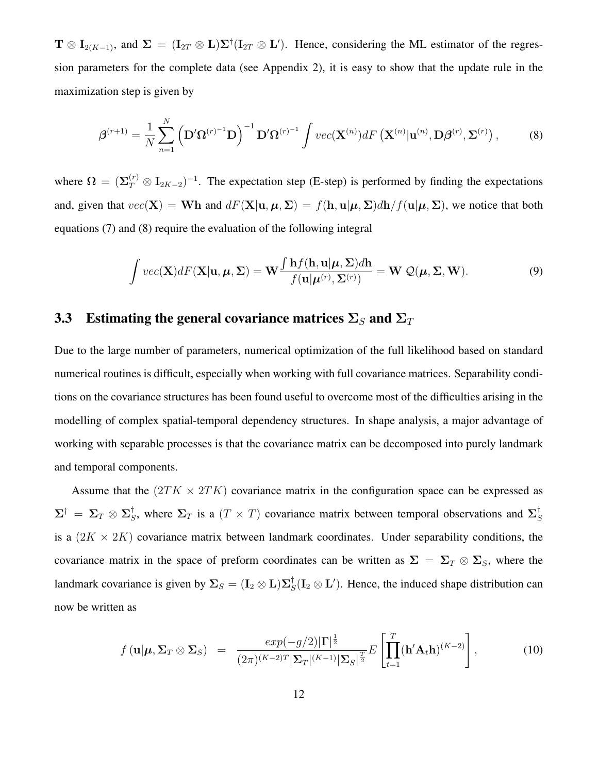$T \otimes I_{2(K-1)}$ , and  $\Sigma = (I_{2T} \otimes L)\Sigma^{\dagger} (I_{2T} \otimes L')$ . Hence, considering the ML estimator of the regression parameters for the complete data (see Appendix 2), it is easy to show that the update rule in the maximization step is given by

$$
\boldsymbol{\beta}^{(r+1)} = \frac{1}{N} \sum_{n=1}^{N} \left( \mathbf{D}' \boldsymbol{\Omega}^{(r)-1} \mathbf{D} \right)^{-1} \mathbf{D}' \boldsymbol{\Omega}^{(r)-1} \int vec(\mathbf{X}^{(n)}) dF\left( \mathbf{X}^{(n)} | \mathbf{u}^{(n)}, \mathbf{D} \boldsymbol{\beta}^{(r)}, \boldsymbol{\Sigma}^{(r)} \right), \tag{8}
$$

where  $\Omega = (\Sigma_T^{(r)} \otimes I_{2K-2})^{-1}$ . The expectation step (E-step) is performed by finding the expectations and, given that  $vec(\mathbf{X}) = \mathbf{W}\mathbf{h}$  and  $dF(\mathbf{X}|\mathbf{u}, \boldsymbol{\mu}, \boldsymbol{\Sigma}) = f(\mathbf{h}, \mathbf{u}|\boldsymbol{\mu}, \boldsymbol{\Sigma}) d\mathbf{h}/f(\mathbf{u}|\boldsymbol{\mu}, \boldsymbol{\Sigma})$ , we notice that both equations (7) and (8) require the evaluation of the following integral

$$
\int vec(\mathbf{X}) dF(\mathbf{X}|\mathbf{u}, \boldsymbol{\mu}, \boldsymbol{\Sigma}) = \mathbf{W} \frac{\int \mathbf{h} f(\mathbf{h}, \mathbf{u}|\boldsymbol{\mu}, \boldsymbol{\Sigma}) d\mathbf{h}}{f(\mathbf{u}|\boldsymbol{\mu}^{(r)}, \boldsymbol{\Sigma}^{(r)})} = \mathbf{W} \mathcal{Q}(\boldsymbol{\mu}, \boldsymbol{\Sigma}, \mathbf{W}).
$$
\n(9)

#### 3.3 Estimating the general covariance matrices  $\Sigma_S$  and  $\Sigma_T$

Due to the large number of parameters, numerical optimization of the full likelihood based on standard numerical routines is difficult, especially when working with full covariance matrices. Separability conditions on the covariance structures has been found useful to overcome most of the difficulties arising in the modelling of complex spatial-temporal dependency structures. In shape analysis, a major advantage of working with separable processes is that the covariance matrix can be decomposed into purely landmark and temporal components.

Assume that the  $(2TK \times 2TK)$  covariance matrix in the configuration space can be expressed as  $\, \Sigma^{\dagger} \, = \, \Sigma_{T} \otimes \Sigma^{\dagger}_{S} \,$  $\zeta$ , where  $\Sigma_T$  is a  $(T \times T)$  covariance matrix between temporal observations and  $\Sigma_S^{\dagger}$ S is a  $(2K \times 2K)$  covariance matrix between landmark coordinates. Under separability conditions, the covariance matrix in the space of preform coordinates can be written as  $\Sigma = \Sigma_T \otimes \Sigma_S$ , where the landmark covariance is given by  $\Sigma_S = (\mathbf{I}_2 \otimes \mathbf{L}) \Sigma_S^{\dagger}$  $\mathcal{L}_S^{\dagger}(\mathbf{I}_2 \otimes \mathbf{L}')$ . Hence, the induced shape distribution can now be written as

$$
f(\mathbf{u}|\boldsymbol{\mu}, \boldsymbol{\Sigma}_T \otimes \boldsymbol{\Sigma}_S) = \frac{exp(-g/2)|\boldsymbol{\Gamma}|^{\frac{1}{2}}}{(2\pi)^{(K-2)T}|\boldsymbol{\Sigma}_T|^{(K-1)}|\boldsymbol{\Sigma}_S|^{\frac{T}{2}}}E\left[\prod_{t=1}^T (\mathbf{h}'\mathbf{A}_t\mathbf{h})^{(K-2)}\right],
$$
(10)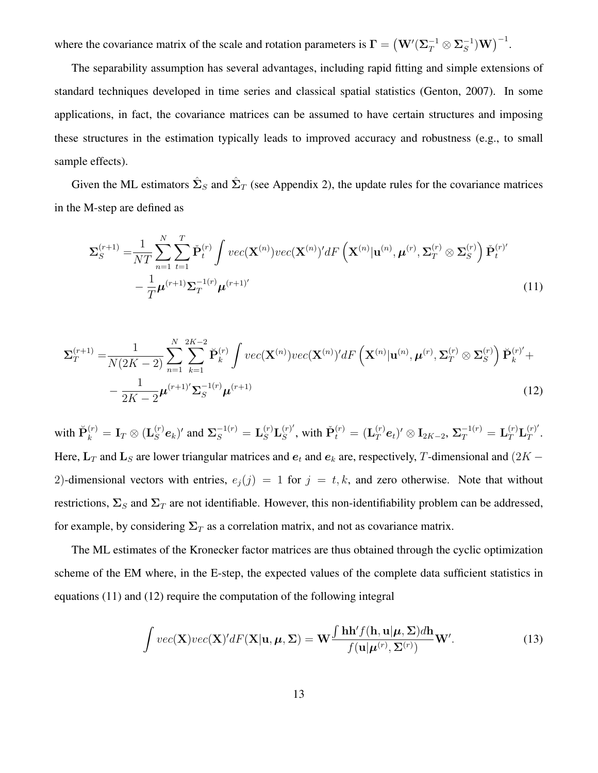where the covariance matrix of the scale and rotation parameters is  $\mathbf{\Gamma} = (\mathbf{W}'(\Sigma_T^{-1} \otimes \Sigma_S^{-1})\mathbf{W})^{-1}$ .

The separability assumption has several advantages, including rapid fitting and simple extensions of standard techniques developed in time series and classical spatial statistics (Genton, 2007). In some applications, in fact, the covariance matrices can be assumed to have certain structures and imposing these structures in the estimation typically leads to improved accuracy and robustness (e.g., to small sample effects).

Given the ML estimators  $\hat{\Sigma}_S$  and  $\hat{\Sigma}_T$  (see Appendix 2), the update rules for the covariance matrices in the M-step are defined as

$$
\Sigma_{S}^{(r+1)} = \frac{1}{NT} \sum_{n=1}^{N} \sum_{t=1}^{T} \check{\mathbf{P}}_{t}^{(r)} \int vec(\mathbf{X}^{(n)}) vec(\mathbf{X}^{(n)})' dF\left(\mathbf{X}^{(n)} | \mathbf{u}^{(n)}, \boldsymbol{\mu}^{(r)}, \Sigma_{T}^{(r)} \otimes \Sigma_{S}^{(r)}\right) \check{\mathbf{P}}_{t}^{(r)} - \frac{1}{T} \boldsymbol{\mu}^{(r+1)} \Sigma_{T}^{-1(r)} \boldsymbol{\mu}^{(r+1)'} \tag{11}
$$

$$
\Sigma_T^{(r+1)} = \frac{1}{N(2K-2)} \sum_{n=1}^N \sum_{k=1}^{2K-2} \breve{\mathbf{P}}_k^{(r)} \int vec(\mathbf{X}^{(n)}) vec(\mathbf{X}^{(n)})' dF\left(\mathbf{X}^{(n)} | \mathbf{u}^{(n)}, \boldsymbol{\mu}^{(r)}, \boldsymbol{\Sigma}_T^{(r)} \otimes \boldsymbol{\Sigma}_S^{(r)}\right) \breve{\mathbf{P}}_k^{(r)} + \\ - \frac{1}{2K-2} \boldsymbol{\mu}^{(r+1)} \boldsymbol{\Sigma}_S^{-1(r)} \boldsymbol{\mu}^{(r+1)} \tag{12}
$$

with  $\breve{\mathbf{P}}_k^{(r)} = \mathbf{I}_T \otimes (\mathbf{L}_S^{(r)} \mathbf{e}_k)'$  and  $\mathbf{\Sigma}_S^{-1(r)} = \mathbf{L}_S^{(r)} \mathbf{L}_S^{(r)'}$  $\mathbf{S}^{(r)}{}_{S}$ , with  $\check{\mathbf{P}}^{(r)}_t = (\mathbf{L}_T^{(r)}\bm{e}_t)' \otimes \mathbf{I}_{2K-2}, \, \boldsymbol{\Sigma}_T^{-1(r)} = \mathbf{L}_T^{(r)}\mathbf{L}_T^{(r)T}$  $T^{(r)}$  . Here,  $L_T$  and  $L_S$  are lower triangular matrices and  $e_t$  and  $e_k$  are, respectively, T-dimensional and (2K – 2)-dimensional vectors with entries,  $e_i(j) = 1$  for  $j = t, k$ , and zero otherwise. Note that without restrictions,  $\Sigma_S$  and  $\Sigma_T$  are not identifiable. However, this non-identifiability problem can be addressed, for example, by considering  $\Sigma_T$  as a correlation matrix, and not as covariance matrix.

The ML estimates of the Kronecker factor matrices are thus obtained through the cyclic optimization scheme of the EM where, in the E-step, the expected values of the complete data sufficient statistics in equations (11) and (12) require the computation of the following integral

$$
\int vec(\mathbf{X})vec(\mathbf{X})'dF(\mathbf{X}|\mathbf{u},\boldsymbol{\mu},\boldsymbol{\Sigma}) = \mathbf{W} \frac{\int \mathbf{h}\mathbf{h}'f(\mathbf{h},\mathbf{u}|\boldsymbol{\mu},\boldsymbol{\Sigma})d\mathbf{h}}{f(\mathbf{u}|\boldsymbol{\mu}^{(r)},\boldsymbol{\Sigma}^{(r)})}\mathbf{W}'. \qquad (13)
$$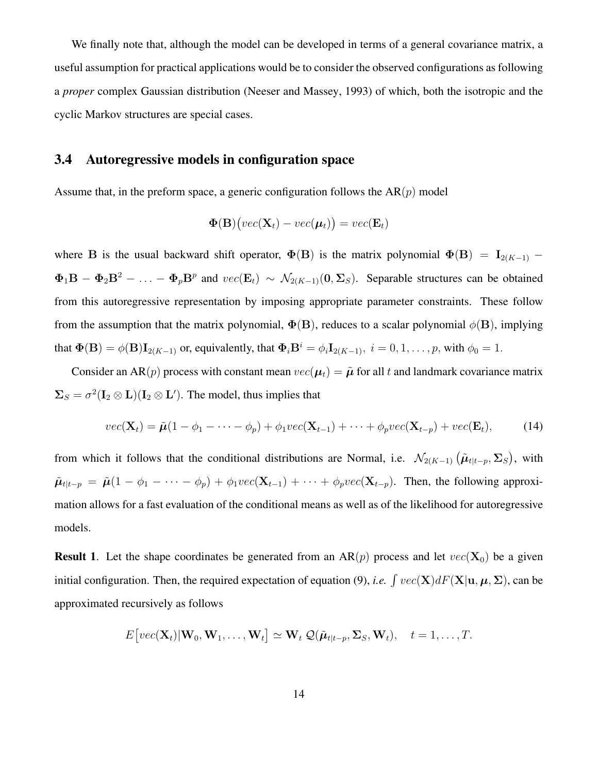We finally note that, although the model can be developed in terms of a general covariance matrix, a useful assumption for practical applications would be to consider the observed configurations as following a *proper* complex Gaussian distribution (Neeser and Massey, 1993) of which, both the isotropic and the cyclic Markov structures are special cases.

#### 3.4 Autoregressive models in configuration space

Assume that, in the preform space, a generic configuration follows the  $AR(p)$  model

$$
\Phi(\mathbf{B})\big( vec(\mathbf{X}_t) - vec(\boldsymbol{\mu}_t) \big) = vec(\mathbf{E}_t)
$$

where B is the usual backward shift operator,  $\Phi(B)$  is the matrix polynomial  $\Phi(B) = I_{2(K-1)}$  –  $\Phi_1 \mathbf{B} - \Phi_2 \mathbf{B}^2 - \ldots - \Phi_p \mathbf{B}^p$  and  $vec(\mathbf{E}_t) \sim \mathcal{N}_{2(K-1)}(\mathbf{0}, \Sigma_S)$ . Separable structures can be obtained from this autoregressive representation by imposing appropriate parameter constraints. These follow from the assumption that the matrix polynomial,  $\Phi(B)$ , reduces to a scalar polynomial  $\phi(B)$ , implying that  $\Phi(\mathbf{B}) = \phi(\mathbf{B})\mathbf{I}_{2(K-1)}$  or, equivalently, that  $\Phi_i \mathbf{B}^i = \phi_i \mathbf{I}_{2(K-1)}, i = 0, 1, \ldots, p$ , with  $\phi_0 = 1$ .

Consider an AR(p) process with constant mean  $vec(\mu_t) = \tilde{\mu}$  for all t and landmark covariance matrix  $\Sigma_S = \sigma^2 (\mathbf{I}_2 \otimes \mathbf{L}) (\mathbf{I}_2 \otimes \mathbf{L}^{\prime})$ . The model, thus implies that

$$
vec(\mathbf{X}_t) = \tilde{\boldsymbol{\mu}}(1 - \phi_1 - \dots - \phi_p) + \phi_1 vec(\mathbf{X}_{t-1}) + \dots + \phi_p vec(\mathbf{X}_{t-p}) + vec(\mathbf{E}_t),
$$
 (14)

from which it follows that the conditional distributions are Normal, i.e.  $\mathcal{N}_{2(K-1)}(\tilde{\mu}_{t|t-p}, \Sigma_S)$ , with  $\tilde{\mu}_{t|t-p} = \tilde{\mu}(1 - \phi_1 - \cdots - \phi_p) + \phi_1 vec(\mathbf{X}_{t-1}) + \cdots + \phi_p vec(\mathbf{X}_{t-p})$ . Then, the following approximation allows for a fast evaluation of the conditional means as well as of the likelihood for autoregressive models.

**Result 1.** Let the shape coordinates be generated from an AR(p) process and let  $vec(\mathbf{X}_0)$  be a given initial configuration. Then, the required expectation of equation (9), *i.e.*  $\int vec(\mathbf{X}) dF(\mathbf{X}|\mathbf{u}, \boldsymbol{\mu}, \boldsymbol{\Sigma})$ , can be approximated recursively as follows

$$
E[vec(\mathbf{X}_t)|\mathbf{W}_0,\mathbf{W}_1,\ldots,\mathbf{W}_t] \simeq \mathbf{W}_t \mathcal{Q}(\tilde{\boldsymbol{\mu}}_{t|t-p},\boldsymbol{\Sigma}_S,\mathbf{W}_t), \quad t = 1,\ldots,T.
$$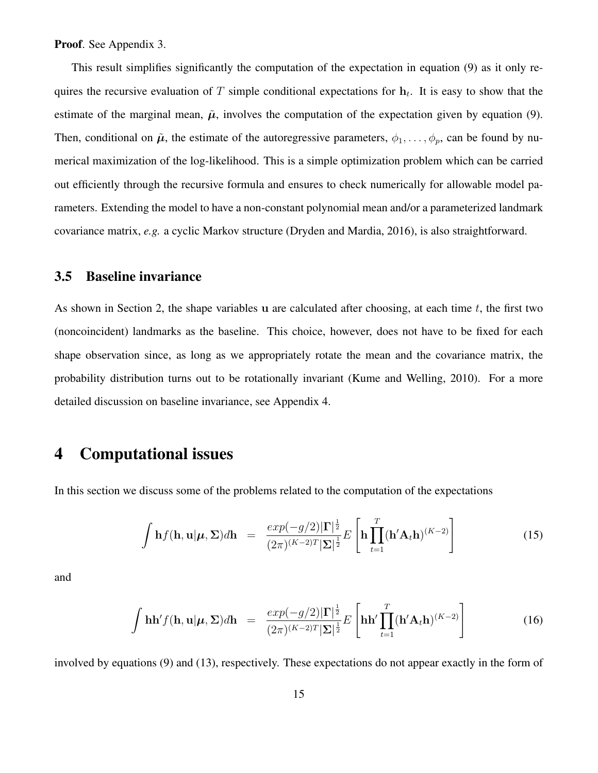Proof. See Appendix 3.

This result simplifies significantly the computation of the expectation in equation (9) as it only requires the recursive evaluation of T simple conditional expectations for  $h_t$ . It is easy to show that the estimate of the marginal mean,  $\tilde{\mu}$ , involves the computation of the expectation given by equation (9). Then, conditional on  $\tilde{\mu}$ , the estimate of the autoregressive parameters,  $\phi_1, \ldots, \phi_p$ , can be found by numerical maximization of the log-likelihood. This is a simple optimization problem which can be carried out efficiently through the recursive formula and ensures to check numerically for allowable model parameters. Extending the model to have a non-constant polynomial mean and/or a parameterized landmark covariance matrix, *e.g.* a cyclic Markov structure (Dryden and Mardia, 2016), is also straightforward.

#### 3.5 Baseline invariance

As shown in Section 2, the shape variables u are calculated after choosing, at each time  $t$ , the first two (noncoincident) landmarks as the baseline. This choice, however, does not have to be fixed for each shape observation since, as long as we appropriately rotate the mean and the covariance matrix, the probability distribution turns out to be rotationally invariant (Kume and Welling, 2010). For a more detailed discussion on baseline invariance, see Appendix 4.

#### 4 Computational issues

In this section we discuss some of the problems related to the computation of the expectations

$$
\int \mathbf{h} f(\mathbf{h}, \mathbf{u} | \boldsymbol{\mu}, \boldsymbol{\Sigma}) d\mathbf{h} = \frac{\exp(-g/2)|\boldsymbol{\Gamma}|^{\frac{1}{2}}}{(2\pi)^{(K-2)T}|\boldsymbol{\Sigma}|^{\frac{1}{2}}} E\left[\mathbf{h} \prod_{t=1}^{T} (\mathbf{h}' \mathbf{A}_t \mathbf{h})^{(K-2)}\right]
$$
(15)

and

$$
\int \mathbf{h} \mathbf{h}' f(\mathbf{h}, \mathbf{u} | \boldsymbol{\mu}, \boldsymbol{\Sigma}) d\mathbf{h} = \frac{\exp(-g/2) |\boldsymbol{\Gamma}|^{\frac{1}{2}}}{(2\pi)^{(K-2)T} |\boldsymbol{\Sigma}|^{\frac{1}{2}}} E\left[\mathbf{h} \mathbf{h}' \prod_{t=1}^{T} (\mathbf{h}' \mathbf{A}_t \mathbf{h})^{(K-2)}\right]
$$
(16)

involved by equations (9) and (13), respectively. These expectations do not appear exactly in the form of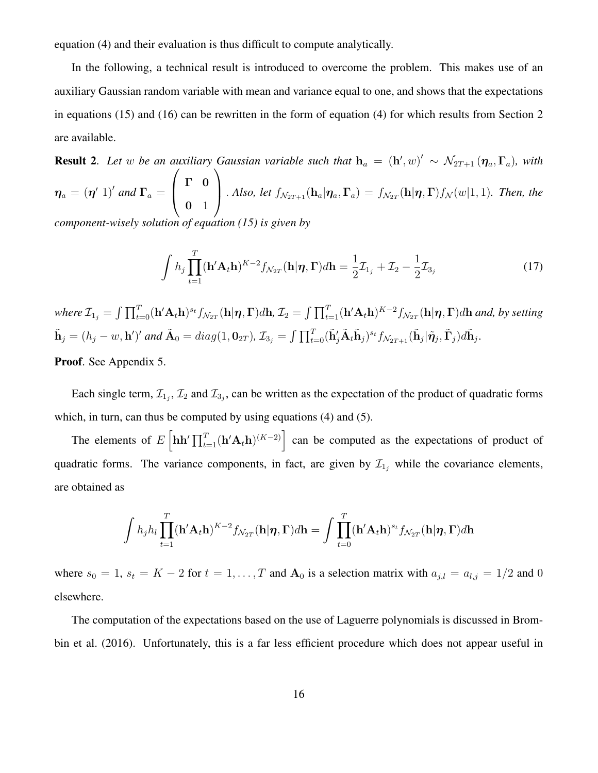equation (4) and their evaluation is thus difficult to compute analytically.

In the following, a technical result is introduced to overcome the problem. This makes use of an auxiliary Gaussian random variable with mean and variance equal to one, and shows that the expectations in equations (15) and (16) can be rewritten in the form of equation (4) for which results from Section 2 are available.

**Result 2.** Let w be an auxiliary Gaussian variable such that  $h_a = (h', w)' \sim \mathcal{N}_{2T+1} (\eta_a, \Gamma_a)$ , with  $\boldsymbol{\eta}_a = (\boldsymbol{\eta}' \; 1)'$  and  $\boldsymbol{\Gamma}_a =$  $\sqrt{ }$  $\left\lfloor \right\rfloor$ Γ 0  $0 \quad 1$  $\setminus$  $\int$ *. Also, let*  $f_{\mathcal{N}_{2T+1}}(\mathbf{h}_a|\eta_a,\Gamma_a) = f_{\mathcal{N}_{2T}}(\mathbf{h}|\eta,\Gamma) f_{\mathcal{N}}(w|1,1)$ *. Then, the component-wisely solution of equation (15) is given by*

$$
\int h_j \prod_{t=1}^T (\mathbf{h}' \mathbf{A}_t \mathbf{h})^{K-2} f_{\mathcal{N}_{2T}}(\mathbf{h} | \boldsymbol{\eta}, \boldsymbol{\Gamma}) d\mathbf{h} = \frac{1}{2} \mathcal{I}_{1_j} + \mathcal{I}_2 - \frac{1}{2} \mathcal{I}_{3_j}
$$
(17)

where  $\mathcal{I}_{1_j}=\int \prod_{t=0}^T (\mathbf{h}'\mathbf{A}_t\mathbf{h})^{s_t} f_{\mathcal{N}_{2T}}(\mathbf{h}\vert\boldsymbol{\eta},\boldsymbol{\Gamma})d\mathbf{h}$ ,  $\mathcal{I}_2=\int \prod_{t=1}^T (\mathbf{h}'\mathbf{A}_t\mathbf{h})^{K-2} f_{\mathcal{N}_{2T}}(\mathbf{h}\vert\boldsymbol{\eta},\boldsymbol{\Gamma})d\mathbf{h}$  and, by setting  $\tilde{\mathbf{h}}_j=(h_j-w,\mathbf{h}')'$  and  $\tilde{\mathbf{A}}_0=diag(1,\mathbf{0}_{2T}),$   $\mathcal{I}_{3_j}=\int \prod_{t=0}^T (\tilde{\mathbf{h}}'_j\tilde{\mathbf{A}}_t\tilde{\mathbf{h}}_j)^{s_t}f_{\mathcal{N}_{2T+1}}(\tilde{\mathbf{h}}_j|\tilde{\boldsymbol{\eta}}_j,\tilde{\boldsymbol{\Gamma}}_j)d\tilde{\mathbf{h}}_j.$ 

Proof. See Appendix 5.

Each single term,  $\mathcal{I}_{1_j}$ ,  $\mathcal{I}_2$  and  $\mathcal{I}_{3_j}$ , can be written as the expectation of the product of quadratic forms which, in turn, can thus be computed by using equations (4) and (5).

The elements of  $E\left[\mathbf{h}\mathbf{h}'\prod_{t=1}^T(\mathbf{h}'\mathbf{A}_t\mathbf{h})^{(K-2)}\right]$  can be computed as the expectations of product of quadratic forms. The variance components, in fact, are given by  $\mathcal{I}_{1j}$  while the covariance elements, are obtained as

$$
\int h_j h_l \prod_{t=1}^T (\mathbf{h}' \mathbf{A}_t \mathbf{h})^{K-2} f_{\mathcal{N}_{2T}}(\mathbf{h} | \boldsymbol{\eta}, \boldsymbol{\Gamma}) d\mathbf{h} = \int \prod_{t=0}^T (\mathbf{h}' \mathbf{A}_t \mathbf{h})^{s_t} f_{\mathcal{N}_{2T}}(\mathbf{h} | \boldsymbol{\eta}, \boldsymbol{\Gamma}) d\mathbf{h}
$$

where  $s_0 = 1$ ,  $s_t = K - 2$  for  $t = 1, ..., T$  and  $A_0$  is a selection matrix with  $a_{j,l} = a_{l,j} = 1/2$  and 0 elsewhere.

The computation of the expectations based on the use of Laguerre polynomials is discussed in Brombin et al. (2016). Unfortunately, this is a far less efficient procedure which does not appear useful in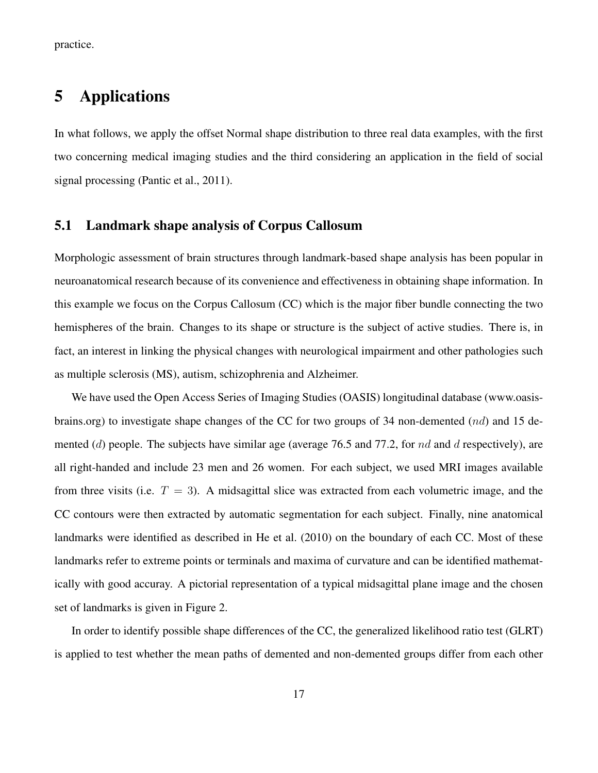practice.

## 5 Applications

In what follows, we apply the offset Normal shape distribution to three real data examples, with the first two concerning medical imaging studies and the third considering an application in the field of social signal processing (Pantic et al., 2011).

#### 5.1 Landmark shape analysis of Corpus Callosum

Morphologic assessment of brain structures through landmark-based shape analysis has been popular in neuroanatomical research because of its convenience and effectiveness in obtaining shape information. In this example we focus on the Corpus Callosum (CC) which is the major fiber bundle connecting the two hemispheres of the brain. Changes to its shape or structure is the subject of active studies. There is, in fact, an interest in linking the physical changes with neurological impairment and other pathologies such as multiple sclerosis (MS), autism, schizophrenia and Alzheimer.

We have used the Open Access Series of Imaging Studies (OASIS) longitudinal database (www.oasisbrains.org) to investigate shape changes of the CC for two groups of 34 non-demented (nd) and 15 demented (d) people. The subjects have similar age (average 76.5 and 77.2, for nd and d respectively), are all right-handed and include 23 men and 26 women. For each subject, we used MRI images available from three visits (i.e.  $T = 3$ ). A midsagittal slice was extracted from each volumetric image, and the CC contours were then extracted by automatic segmentation for each subject. Finally, nine anatomical landmarks were identified as described in He et al. (2010) on the boundary of each CC. Most of these landmarks refer to extreme points or terminals and maxima of curvature and can be identified mathematically with good accuray. A pictorial representation of a typical midsagittal plane image and the chosen set of landmarks is given in Figure 2.

In order to identify possible shape differences of the CC, the generalized likelihood ratio test (GLRT) is applied to test whether the mean paths of demented and non-demented groups differ from each other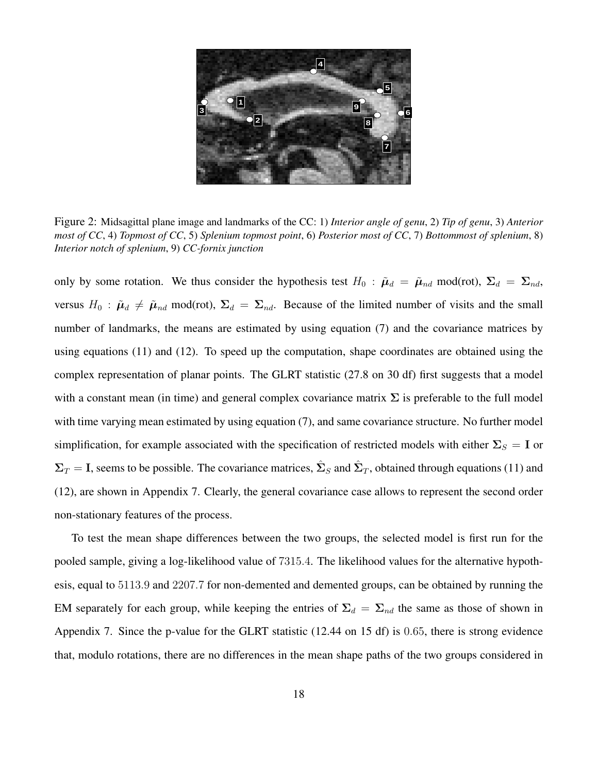

Figure 2: Midsagittal plane image and landmarks of the CC: 1) *Interior angle of genu*, 2) *Tip of genu*, 3) *Anterior most of CC*, 4) *Topmost of CC*, 5) *Splenium topmost point*, 6) *Posterior most of CC*, 7) *Bottommost of splenium*, 8) *Interior notch of splenium*, 9) *CC-fornix junction*

only by some rotation. We thus consider the hypothesis test  $H_0$ :  $\tilde{\mu}_d = \tilde{\mu}_{nd} \mod{(\text{rot})}$ ,  $\Sigma_d = \Sigma_{nd}$ , versus  $H_0$ :  $\tilde{\mu}_d \neq \tilde{\mu}_{nd}$  mod(rot),  $\Sigma_d = \Sigma_{nd}$ . Because of the limited number of visits and the small number of landmarks, the means are estimated by using equation (7) and the covariance matrices by using equations (11) and (12). To speed up the computation, shape coordinates are obtained using the complex representation of planar points. The GLRT statistic (27.8 on 30 df) first suggests that a model with a constant mean (in time) and general complex covariance matrix  $\Sigma$  is preferable to the full model with time varying mean estimated by using equation (7), and same covariance structure. No further model simplification, for example associated with the specification of restricted models with either  $\Sigma_S = I$  or  $\Sigma_T = I$ , seems to be possible. The covariance matrices,  $\hat{\Sigma}_S$  and  $\hat{\Sigma}_T$ , obtained through equations (11) and (12), are shown in Appendix 7. Clearly, the general covariance case allows to represent the second order non-stationary features of the process.

To test the mean shape differences between the two groups, the selected model is first run for the pooled sample, giving a log-likelihood value of 7315.4. The likelihood values for the alternative hypothesis, equal to 5113.9 and 2207.7 for non-demented and demented groups, can be obtained by running the EM separately for each group, while keeping the entries of  $\Sigma_d = \Sigma_{nd}$  the same as those of shown in Appendix 7. Since the p-value for the GLRT statistic (12.44 on 15 df) is 0.65, there is strong evidence that, modulo rotations, there are no differences in the mean shape paths of the two groups considered in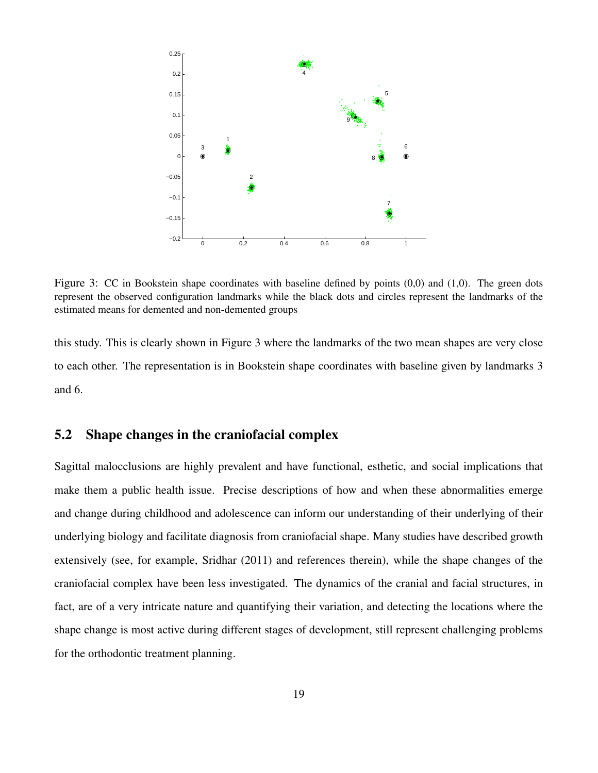

Figure 3: CC in Bookstein shape coordinates with baseline defined by points (0,0) and (1,0). The green dots represent the observed configuration landmarks while the black dots and circles represent the landmarks of the estimated means for demented and non-demented groups

this study. This is clearly shown in Figure 3 where the landmarks of the two mean shapes are very close to each other. The representation is in Bookstein shape coordinates with baseline given by landmarks 3 and 6.

#### 5.2 Shape changes in the craniofacial complex

Sagittal malocclusions are highly prevalent and have functional, esthetic, and social implications that make them a public health issue. Precise descriptions of how and when these abnormalities emerge and change during childhood and adolescence can inform our understanding of their underlying of their underlying biology and facilitate diagnosis from craniofacial shape. Many studies have described growth extensively (see, for example, Sridhar (2011) and references therein), while the shape changes of the craniofacial complex have been less investigated. The dynamics of the cranial and facial structures, in fact, are of a very intricate nature and quantifying their variation, and detecting the locations where the shape change is most active during different stages of development, still represent challenging problems for the orthodontic treatment planning.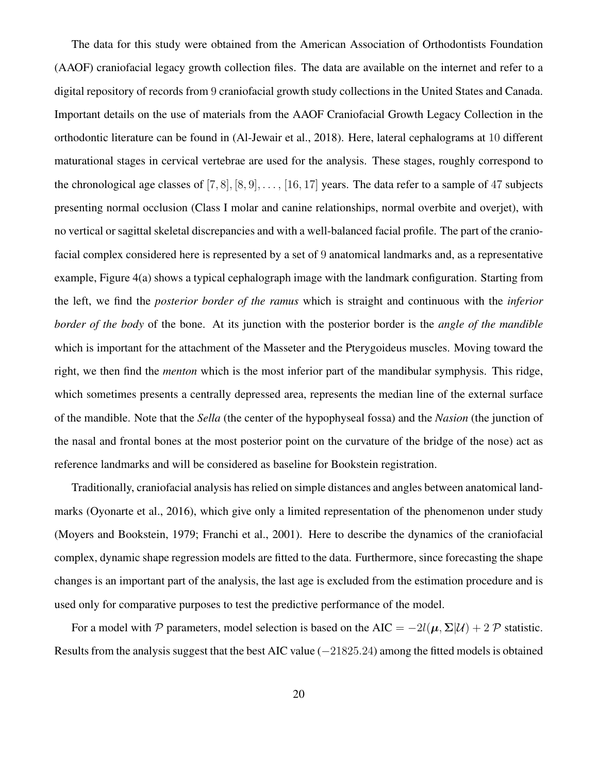The data for this study were obtained from the American Association of Orthodontists Foundation (AAOF) craniofacial legacy growth collection files. The data are available on the internet and refer to a digital repository of records from 9 craniofacial growth study collections in the United States and Canada. Important details on the use of materials from the AAOF Craniofacial Growth Legacy Collection in the orthodontic literature can be found in (Al-Jewair et al., 2018). Here, lateral cephalograms at 10 different maturational stages in cervical vertebrae are used for the analysis. These stages, roughly correspond to the chronological age classes of  $[7, 8]$ ,  $[8, 9]$ , ...,  $[16, 17]$  years. The data refer to a sample of 47 subjects presenting normal occlusion (Class I molar and canine relationships, normal overbite and overjet), with no vertical or sagittal skeletal discrepancies and with a well-balanced facial profile. The part of the craniofacial complex considered here is represented by a set of 9 anatomical landmarks and, as a representative example, Figure 4(a) shows a typical cephalograph image with the landmark configuration. Starting from the left, we find the *posterior border of the ramus* which is straight and continuous with the *inferior border of the body* of the bone. At its junction with the posterior border is the *angle of the mandible* which is important for the attachment of the Masseter and the Pterygoideus muscles. Moving toward the right, we then find the *menton* which is the most inferior part of the mandibular symphysis. This ridge, which sometimes presents a centrally depressed area, represents the median line of the external surface of the mandible. Note that the *Sella* (the center of the hypophyseal fossa) and the *Nasion* (the junction of the nasal and frontal bones at the most posterior point on the curvature of the bridge of the nose) act as reference landmarks and will be considered as baseline for Bookstein registration.

Traditionally, craniofacial analysis has relied on simple distances and angles between anatomical landmarks (Oyonarte et al., 2016), which give only a limited representation of the phenomenon under study (Moyers and Bookstein, 1979; Franchi et al., 2001). Here to describe the dynamics of the craniofacial complex, dynamic shape regression models are fitted to the data. Furthermore, since forecasting the shape changes is an important part of the analysis, the last age is excluded from the estimation procedure and is used only for comparative purposes to test the predictive performance of the model.

For a model with P parameters, model selection is based on the AIC =  $-2l(\mu, \Sigma|\mathcal{U}) + 2 \mathcal{P}$  statistic. Results from the analysis suggest that the best AIC value (−21825.24) among the fitted models is obtained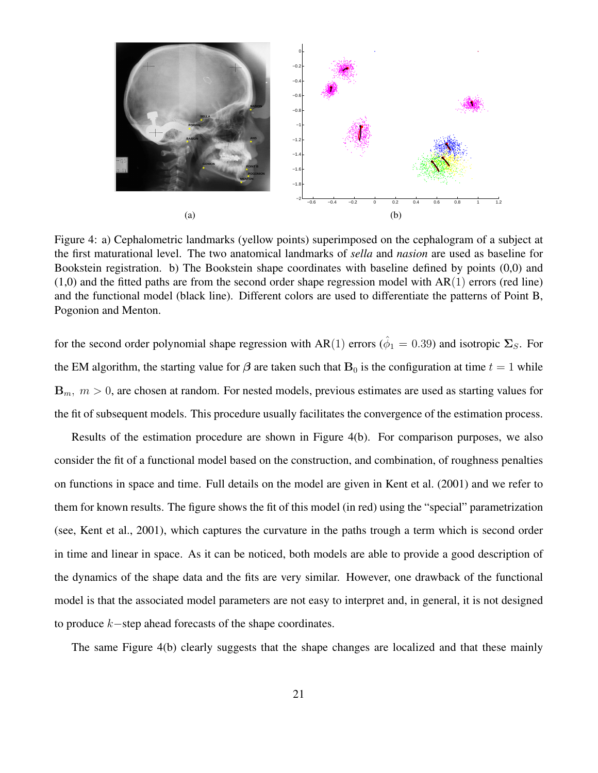

Figure 4: a) Cephalometric landmarks (yellow points) superimposed on the cephalogram of a subject at the first maturational level. The two anatomical landmarks of *sella* and *nasion* are used as baseline for Bookstein registration. b) The Bookstein shape coordinates with baseline defined by points (0,0) and  $(1,0)$  and the fitted paths are from the second order shape regression model with  $AR(1)$  errors (red line) and the functional model (black line). Different colors are used to differentiate the patterns of Point B, Pogonion and Menton.

for the second order polynomial shape regression with AR(1) errors ( $\hat{\phi}_1 = 0.39$ ) and isotropic  $\Sigma_S$ . For the EM algorithm, the starting value for  $\beta$  are taken such that  $B_0$  is the configuration at time  $t = 1$  while  ${\bf B}_m$ ,  $m > 0$ , are chosen at random. For nested models, previous estimates are used as starting values for the fit of subsequent models. This procedure usually facilitates the convergence of the estimation process.

Results of the estimation procedure are shown in Figure 4(b). For comparison purposes, we also consider the fit of a functional model based on the construction, and combination, of roughness penalties on functions in space and time. Full details on the model are given in Kent et al. (2001) and we refer to them for known results. The figure shows the fit of this model (in red) using the "special" parametrization (see, Kent et al., 2001), which captures the curvature in the paths trough a term which is second order in time and linear in space. As it can be noticed, both models are able to provide a good description of the dynamics of the shape data and the fits are very similar. However, one drawback of the functional model is that the associated model parameters are not easy to interpret and, in general, it is not designed to produce k−step ahead forecasts of the shape coordinates.

The same Figure 4(b) clearly suggests that the shape changes are localized and that these mainly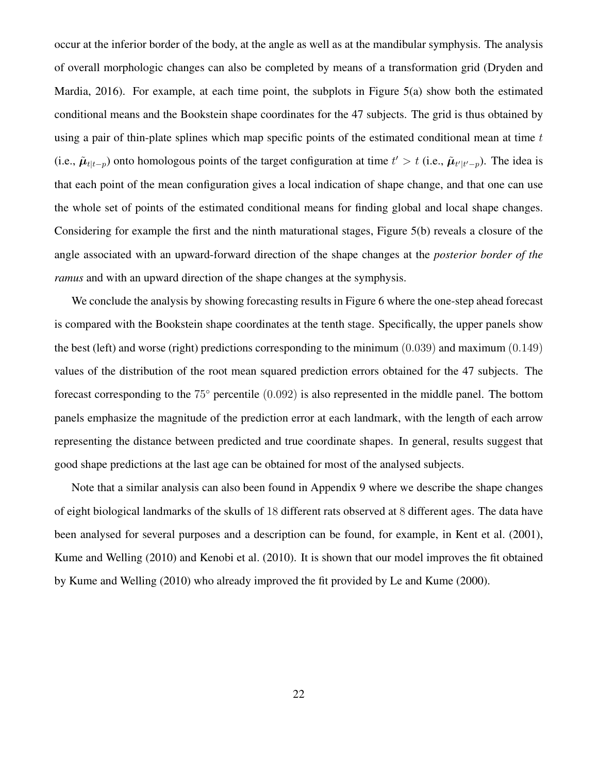occur at the inferior border of the body, at the angle as well as at the mandibular symphysis. The analysis of overall morphologic changes can also be completed by means of a transformation grid (Dryden and Mardia, 2016). For example, at each time point, the subplots in Figure 5(a) show both the estimated conditional means and the Bookstein shape coordinates for the 47 subjects. The grid is thus obtained by using a pair of thin-plate splines which map specific points of the estimated conditional mean at time  $t$ (i.e.,  $\tilde{\mu}_{t|t-p}$ ) onto homologous points of the target configuration at time  $t' > t$  (i.e.,  $\tilde{\mu}_{t'|t'-p}$ ). The idea is that each point of the mean configuration gives a local indication of shape change, and that one can use the whole set of points of the estimated conditional means for finding global and local shape changes. Considering for example the first and the ninth maturational stages, Figure 5(b) reveals a closure of the angle associated with an upward-forward direction of the shape changes at the *posterior border of the ramus* and with an upward direction of the shape changes at the symphysis.

We conclude the analysis by showing forecasting results in Figure 6 where the one-step ahead forecast is compared with the Bookstein shape coordinates at the tenth stage. Specifically, the upper panels show the best (left) and worse (right) predictions corresponding to the minimum (0.039) and maximum (0.149) values of the distribution of the root mean squared prediction errors obtained for the 47 subjects. The forecast corresponding to the 75° percentile (0.092) is also represented in the middle panel. The bottom panels emphasize the magnitude of the prediction error at each landmark, with the length of each arrow representing the distance between predicted and true coordinate shapes. In general, results suggest that good shape predictions at the last age can be obtained for most of the analysed subjects.

Note that a similar analysis can also been found in Appendix 9 where we describe the shape changes of eight biological landmarks of the skulls of 18 different rats observed at 8 different ages. The data have been analysed for several purposes and a description can be found, for example, in Kent et al. (2001), Kume and Welling (2010) and Kenobi et al. (2010). It is shown that our model improves the fit obtained by Kume and Welling (2010) who already improved the fit provided by Le and Kume (2000).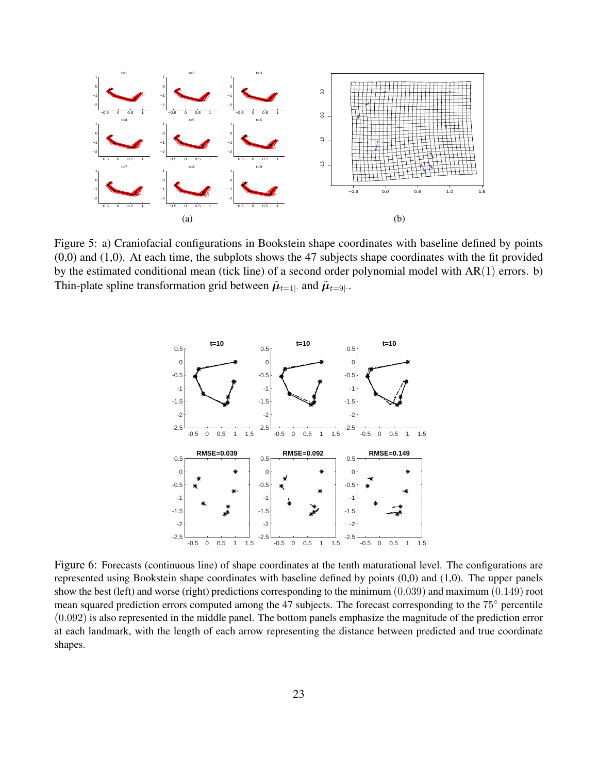

Figure 5: a) Craniofacial configurations in Bookstein shape coordinates with baseline defined by points (0,0) and (1,0). At each time, the subplots shows the 47 subjects shape coordinates with the fit provided by the estimated conditional mean (tick line) of a second order polynomial model with AR(1) errors. b) Thin-plate spline transformation grid between  $\tilde{\mu}_{t=1}$  and  $\tilde{\mu}_{t=9|}$ .



Figure 6: Forecasts (continuous line) of shape coordinates at the tenth maturational level. The configurations are represented using Bookstein shape coordinates with baseline defined by points (0,0) and (1,0). The upper panels show the best (left) and worse (right) predictions corresponding to the minimum (0.039) and maximum (0.149) root mean squared prediction errors computed among the 47 subjects. The forecast corresponding to the 75◦ percentile (0.092) is also represented in the middle panel. The bottom panels emphasize the magnitude of the prediction error at each landmark, with the length of each arrow representing the distance between predicted and true coordinate shapes.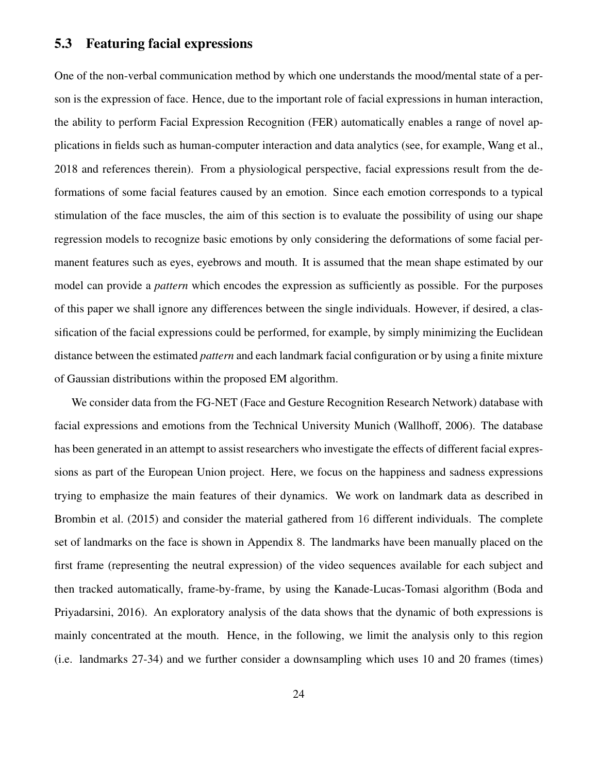#### 5.3 Featuring facial expressions

One of the non-verbal communication method by which one understands the mood/mental state of a person is the expression of face. Hence, due to the important role of facial expressions in human interaction, the ability to perform Facial Expression Recognition (FER) automatically enables a range of novel applications in fields such as human-computer interaction and data analytics (see, for example, Wang et al., 2018 and references therein). From a physiological perspective, facial expressions result from the deformations of some facial features caused by an emotion. Since each emotion corresponds to a typical stimulation of the face muscles, the aim of this section is to evaluate the possibility of using our shape regression models to recognize basic emotions by only considering the deformations of some facial permanent features such as eyes, eyebrows and mouth. It is assumed that the mean shape estimated by our model can provide a *pattern* which encodes the expression as sufficiently as possible. For the purposes of this paper we shall ignore any differences between the single individuals. However, if desired, a classification of the facial expressions could be performed, for example, by simply minimizing the Euclidean distance between the estimated *pattern* and each landmark facial configuration or by using a finite mixture of Gaussian distributions within the proposed EM algorithm.

We consider data from the FG-NET (Face and Gesture Recognition Research Network) database with facial expressions and emotions from the Technical University Munich (Wallhoff, 2006). The database has been generated in an attempt to assist researchers who investigate the effects of different facial expressions as part of the European Union project. Here, we focus on the happiness and sadness expressions trying to emphasize the main features of their dynamics. We work on landmark data as described in Brombin et al. (2015) and consider the material gathered from 16 different individuals. The complete set of landmarks on the face is shown in Appendix 8. The landmarks have been manually placed on the first frame (representing the neutral expression) of the video sequences available for each subject and then tracked automatically, frame-by-frame, by using the Kanade-Lucas-Tomasi algorithm (Boda and Priyadarsini, 2016). An exploratory analysis of the data shows that the dynamic of both expressions is mainly concentrated at the mouth. Hence, in the following, we limit the analysis only to this region (i.e. landmarks 27-34) and we further consider a downsampling which uses 10 and 20 frames (times)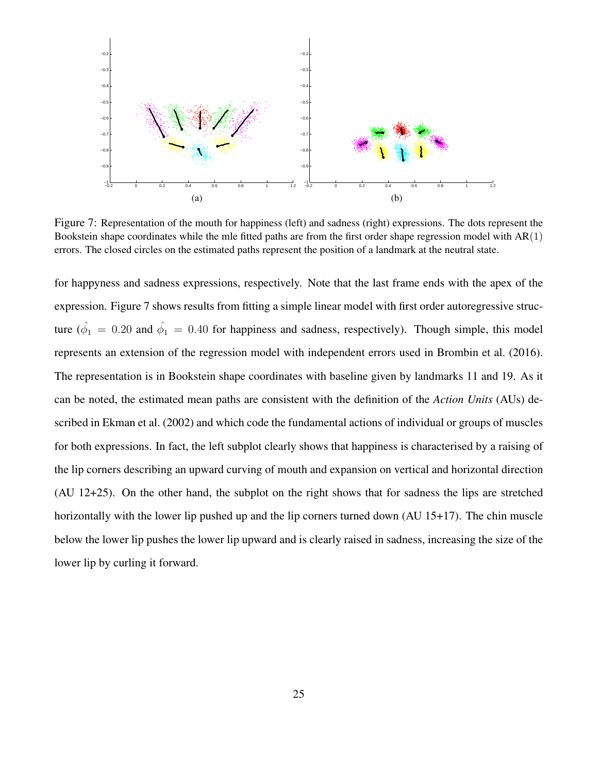

Figure 7: Representation of the mouth for happiness (left) and sadness (right) expressions. The dots represent the Bookstein shape coordinates while the mle fitted paths are from the first order shape regression model with  $AR(1)$ errors. The closed circles on the estimated paths represent the position of a landmark at the neutral state.

for happyness and sadness expressions, respectively. Note that the last frame ends with the apex of the expression. Figure 7 shows results from fitting a simple linear model with first order autoregressive structure ( $\hat{\phi}_1 = 0.20$  and  $\hat{\phi}_1 = 0.40$  for happiness and sadness, respectively). Though simple, this model represents an extension of the regression model with independent errors used in Brombin et al. (2016). The representation is in Bookstein shape coordinates with baseline given by landmarks 11 and 19. As it can be noted, the estimated mean paths are consistent with the definition of the *Action Units* (AUs) described in Ekman et al. (2002) and which code the fundamental actions of individual or groups of muscles for both expressions. In fact, the left subplot clearly shows that happiness is characterised by a raising of the lip corners describing an upward curving of mouth and expansion on vertical and horizontal direction (AU 12+25). On the other hand, the subplot on the right shows that for sadness the lips are stretched horizontally with the lower lip pushed up and the lip corners turned down (AU 15+17). The chin muscle below the lower lip pushes the lower lip upward and is clearly raised in sadness, increasing the size of the lower lip by curling it forward.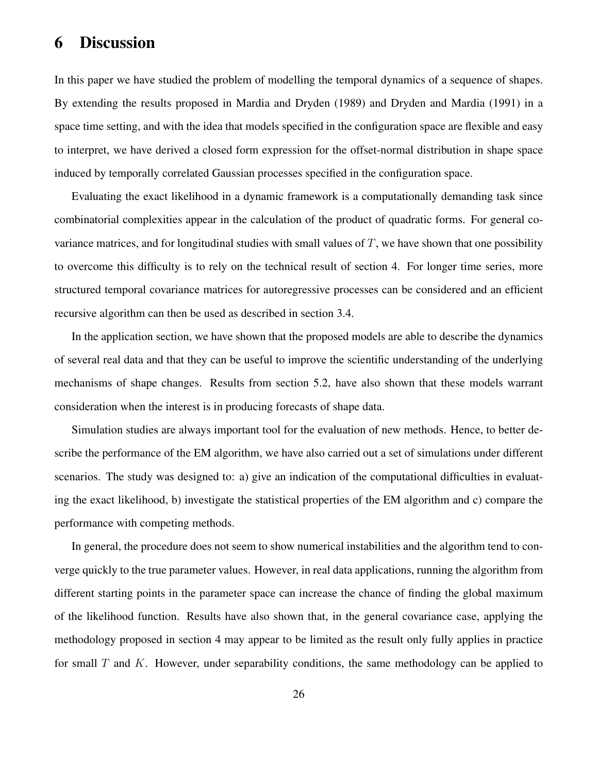#### 6 Discussion

In this paper we have studied the problem of modelling the temporal dynamics of a sequence of shapes. By extending the results proposed in Mardia and Dryden (1989) and Dryden and Mardia (1991) in a space time setting, and with the idea that models specified in the configuration space are flexible and easy to interpret, we have derived a closed form expression for the offset-normal distribution in shape space induced by temporally correlated Gaussian processes specified in the configuration space.

Evaluating the exact likelihood in a dynamic framework is a computationally demanding task since combinatorial complexities appear in the calculation of the product of quadratic forms. For general covariance matrices, and for longitudinal studies with small values of  $T$ , we have shown that one possibility to overcome this difficulty is to rely on the technical result of section 4. For longer time series, more structured temporal covariance matrices for autoregressive processes can be considered and an efficient recursive algorithm can then be used as described in section 3.4.

In the application section, we have shown that the proposed models are able to describe the dynamics of several real data and that they can be useful to improve the scientific understanding of the underlying mechanisms of shape changes. Results from section 5.2, have also shown that these models warrant consideration when the interest is in producing forecasts of shape data.

Simulation studies are always important tool for the evaluation of new methods. Hence, to better describe the performance of the EM algorithm, we have also carried out a set of simulations under different scenarios. The study was designed to: a) give an indication of the computational difficulties in evaluating the exact likelihood, b) investigate the statistical properties of the EM algorithm and c) compare the performance with competing methods.

In general, the procedure does not seem to show numerical instabilities and the algorithm tend to converge quickly to the true parameter values. However, in real data applications, running the algorithm from different starting points in the parameter space can increase the chance of finding the global maximum of the likelihood function. Results have also shown that, in the general covariance case, applying the methodology proposed in section 4 may appear to be limited as the result only fully applies in practice for small  $T$  and  $K$ . However, under separability conditions, the same methodology can be applied to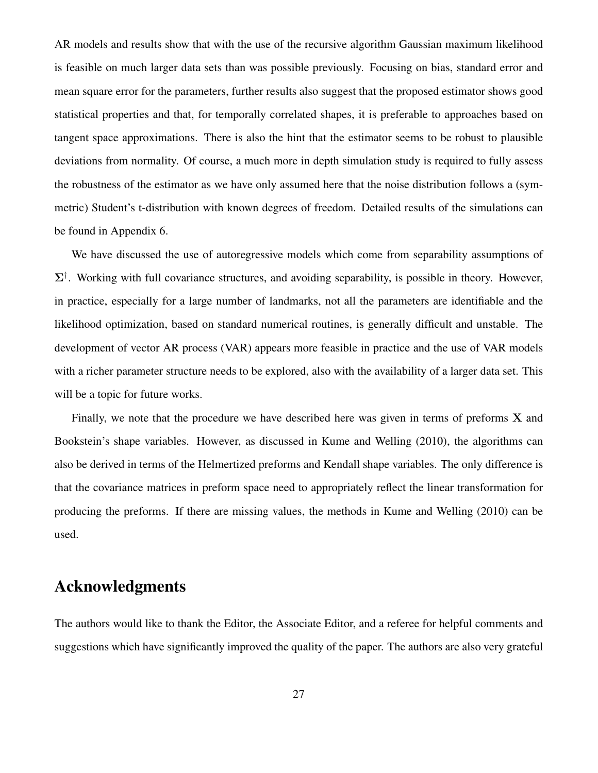AR models and results show that with the use of the recursive algorithm Gaussian maximum likelihood is feasible on much larger data sets than was possible previously. Focusing on bias, standard error and mean square error for the parameters, further results also suggest that the proposed estimator shows good statistical properties and that, for temporally correlated shapes, it is preferable to approaches based on tangent space approximations. There is also the hint that the estimator seems to be robust to plausible deviations from normality. Of course, a much more in depth simulation study is required to fully assess the robustness of the estimator as we have only assumed here that the noise distribution follows a (symmetric) Student's t-distribution with known degrees of freedom. Detailed results of the simulations can be found in Appendix 6.

We have discussed the use of autoregressive models which come from separability assumptions of  $\Sigma^{\dagger}$ . Working with full covariance structures, and avoiding separability, is possible in theory. However, in practice, especially for a large number of landmarks, not all the parameters are identifiable and the likelihood optimization, based on standard numerical routines, is generally difficult and unstable. The development of vector AR process (VAR) appears more feasible in practice and the use of VAR models with a richer parameter structure needs to be explored, also with the availability of a larger data set. This will be a topic for future works.

Finally, we note that the procedure we have described here was given in terms of preforms  $X$  and Bookstein's shape variables. However, as discussed in Kume and Welling (2010), the algorithms can also be derived in terms of the Helmertized preforms and Kendall shape variables. The only difference is that the covariance matrices in preform space need to appropriately reflect the linear transformation for producing the preforms. If there are missing values, the methods in Kume and Welling (2010) can be used.

#### Acknowledgments

The authors would like to thank the Editor, the Associate Editor, and a referee for helpful comments and suggestions which have significantly improved the quality of the paper. The authors are also very grateful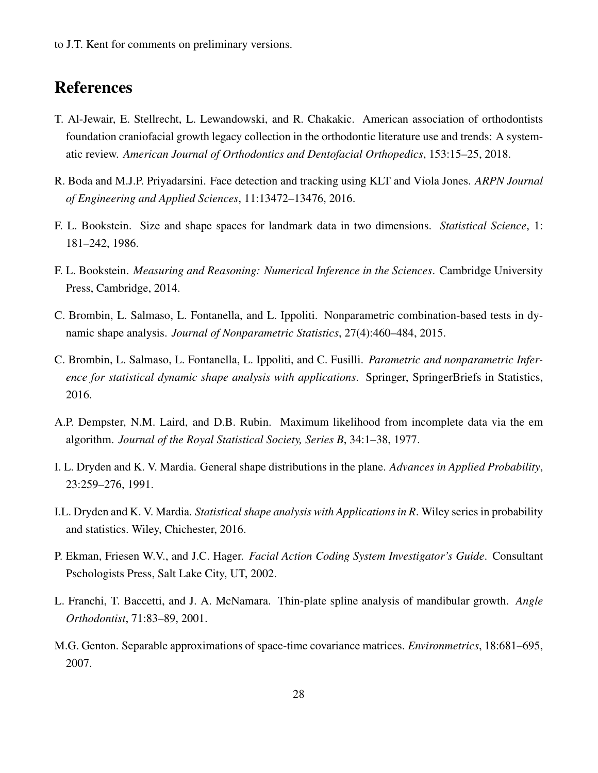to J.T. Kent for comments on preliminary versions.

#### References

- T. Al-Jewair, E. Stellrecht, L. Lewandowski, and R. Chakakic. American association of orthodontists foundation craniofacial growth legacy collection in the orthodontic literature use and trends: A systematic review. *American Journal of Orthodontics and Dentofacial Orthopedics*, 153:15–25, 2018.
- R. Boda and M.J.P. Priyadarsini. Face detection and tracking using KLT and Viola Jones. *ARPN Journal of Engineering and Applied Sciences*, 11:13472–13476, 2016.
- F. L. Bookstein. Size and shape spaces for landmark data in two dimensions. *Statistical Science*, 1: 181–242, 1986.
- F. L. Bookstein. *Measuring and Reasoning: Numerical Inference in the Sciences*. Cambridge University Press, Cambridge, 2014.
- C. Brombin, L. Salmaso, L. Fontanella, and L. Ippoliti. Nonparametric combination-based tests in dynamic shape analysis. *Journal of Nonparametric Statistics*, 27(4):460–484, 2015.
- C. Brombin, L. Salmaso, L. Fontanella, L. Ippoliti, and C. Fusilli. *Parametric and nonparametric Inference for statistical dynamic shape analysis with applications.* Springer, SpringerBriefs in Statistics, 2016.
- A.P. Dempster, N.M. Laird, and D.B. Rubin. Maximum likelihood from incomplete data via the em algorithm. *Journal of the Royal Statistical Society, Series B*, 34:1–38, 1977.
- I. L. Dryden and K. V. Mardia. General shape distributions in the plane. *Advances in Applied Probability*, 23:259–276, 1991.
- I.L. Dryden and K. V. Mardia. *Statistical shape analysis with Applications in R*. Wiley series in probability and statistics. Wiley, Chichester, 2016.
- P. Ekman, Friesen W.V., and J.C. Hager. *Facial Action Coding System Investigator's Guide*. Consultant Pschologists Press, Salt Lake City, UT, 2002.
- L. Franchi, T. Baccetti, and J. A. McNamara. Thin-plate spline analysis of mandibular growth. *Angle Orthodontist*, 71:83–89, 2001.
- M.G. Genton. Separable approximations of space-time covariance matrices. *Environmetrics*, 18:681–695, 2007.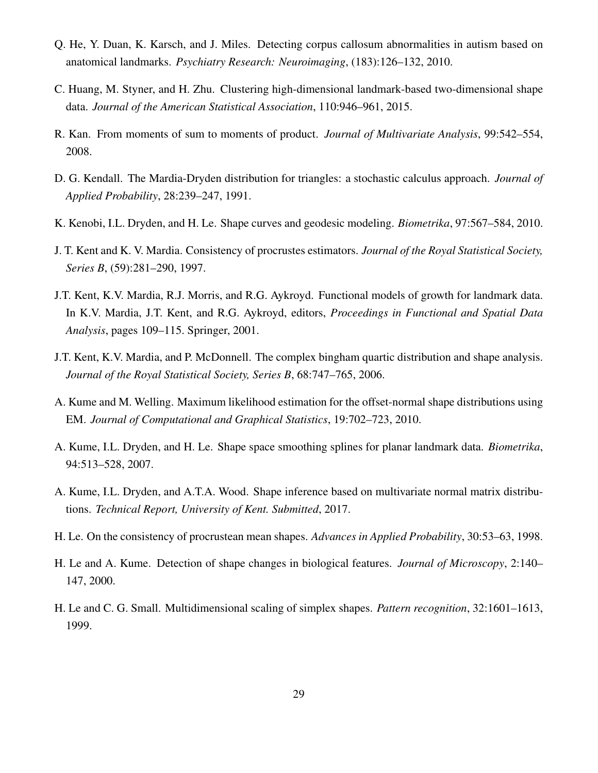- Q. He, Y. Duan, K. Karsch, and J. Miles. Detecting corpus callosum abnormalities in autism based on anatomical landmarks. *Psychiatry Research: Neuroimaging*, (183):126–132, 2010.
- C. Huang, M. Styner, and H. Zhu. Clustering high-dimensional landmark-based two-dimensional shape data. *Journal of the American Statistical Association*, 110:946–961, 2015.
- R. Kan. From moments of sum to moments of product. *Journal of Multivariate Analysis*, 99:542–554, 2008.
- D. G. Kendall. The Mardia-Dryden distribution for triangles: a stochastic calculus approach. *Journal of Applied Probability*, 28:239–247, 1991.
- K. Kenobi, I.L. Dryden, and H. Le. Shape curves and geodesic modeling. *Biometrika*, 97:567–584, 2010.
- J. T. Kent and K. V. Mardia. Consistency of procrustes estimators. *Journal of the Royal Statistical Society, Series B*, (59):281–290, 1997.
- J.T. Kent, K.V. Mardia, R.J. Morris, and R.G. Aykroyd. Functional models of growth for landmark data. In K.V. Mardia, J.T. Kent, and R.G. Aykroyd, editors, *Proceedings in Functional and Spatial Data Analysis*, pages 109–115. Springer, 2001.
- J.T. Kent, K.V. Mardia, and P. McDonnell. The complex bingham quartic distribution and shape analysis. *Journal of the Royal Statistical Society, Series B*, 68:747–765, 2006.
- A. Kume and M. Welling. Maximum likelihood estimation for the offset-normal shape distributions using EM. *Journal of Computational and Graphical Statistics*, 19:702–723, 2010.
- A. Kume, I.L. Dryden, and H. Le. Shape space smoothing splines for planar landmark data. *Biometrika*, 94:513–528, 2007.
- A. Kume, I.L. Dryden, and A.T.A. Wood. Shape inference based on multivariate normal matrix distributions. *Technical Report, University of Kent. Submitted*, 2017.
- H. Le. On the consistency of procrustean mean shapes. *Advances in Applied Probability*, 30:53–63, 1998.
- H. Le and A. Kume. Detection of shape changes in biological features. *Journal of Microscopy*, 2:140– 147, 2000.
- H. Le and C. G. Small. Multidimensional scaling of simplex shapes. *Pattern recognition*, 32:1601–1613, 1999.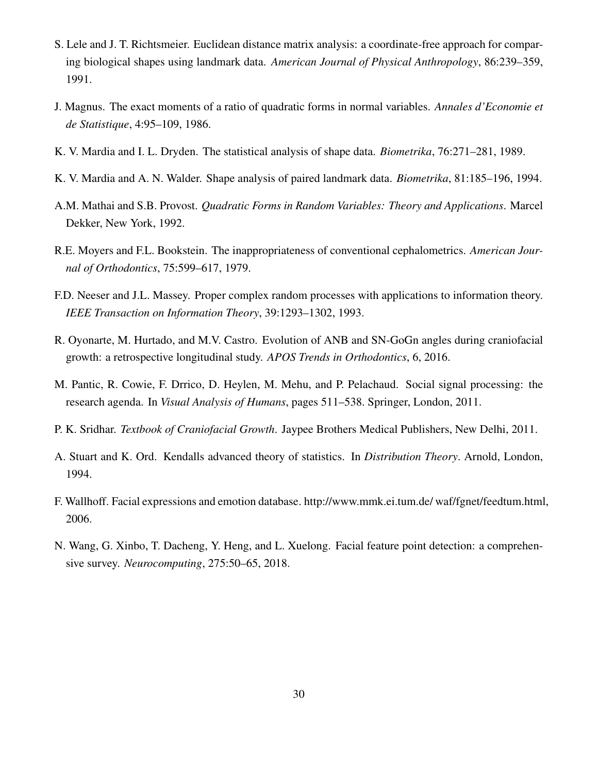- S. Lele and J. T. Richtsmeier. Euclidean distance matrix analysis: a coordinate-free approach for comparing biological shapes using landmark data. *American Journal of Physical Anthropology*, 86:239–359, 1991.
- J. Magnus. The exact moments of a ratio of quadratic forms in normal variables. *Annales d'Economie et de Statistique*, 4:95–109, 1986.
- K. V. Mardia and I. L. Dryden. The statistical analysis of shape data. *Biometrika*, 76:271–281, 1989.
- K. V. Mardia and A. N. Walder. Shape analysis of paired landmark data. *Biometrika*, 81:185–196, 1994.
- A.M. Mathai and S.B. Provost. *Quadratic Forms in Random Variables: Theory and Applications*. Marcel Dekker, New York, 1992.
- R.E. Moyers and F.L. Bookstein. The inappropriateness of conventional cephalometrics. *American Journal of Orthodontics*, 75:599–617, 1979.
- F.D. Neeser and J.L. Massey. Proper complex random processes with applications to information theory. *IEEE Transaction on Information Theory*, 39:1293–1302, 1993.
- R. Oyonarte, M. Hurtado, and M.V. Castro. Evolution of ANB and SN-GoGn angles during craniofacial growth: a retrospective longitudinal study. *APOS Trends in Orthodontics*, 6, 2016.
- M. Pantic, R. Cowie, F. Drrico, D. Heylen, M. Mehu, and P. Pelachaud. Social signal processing: the research agenda. In *Visual Analysis of Humans*, pages 511–538. Springer, London, 2011.
- P. K. Sridhar. *Textbook of Craniofacial Growth*. Jaypee Brothers Medical Publishers, New Delhi, 2011.
- A. Stuart and K. Ord. Kendalls advanced theory of statistics. In *Distribution Theory*. Arnold, London, 1994.
- F. Wallhoff. Facial expressions and emotion database. http://www.mmk.ei.tum.de/ waf/fgnet/feedtum.html, 2006.
- N. Wang, G. Xinbo, T. Dacheng, Y. Heng, and L. Xuelong. Facial feature point detection: a comprehensive survey. *Neurocomputing*, 275:50–65, 2018.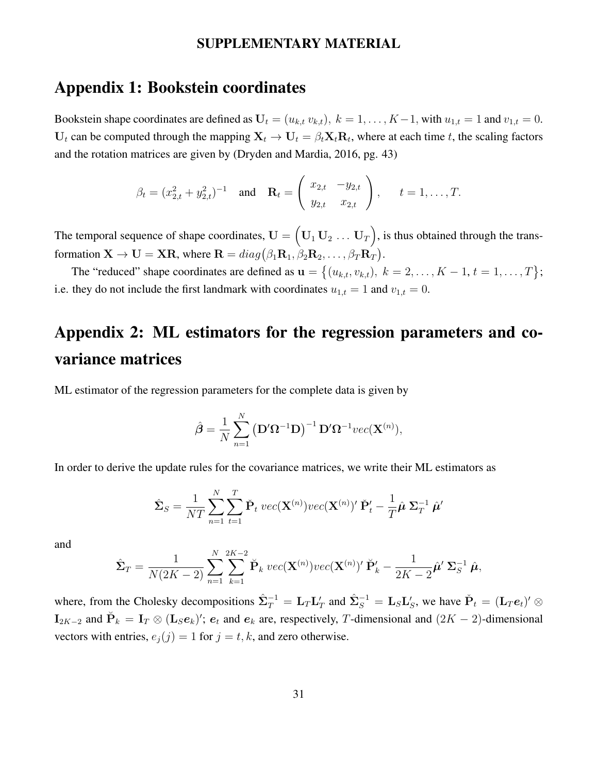#### SUPPLEMENTARY MATERIAL

#### Appendix 1: Bookstein coordinates

Bookstein shape coordinates are defined as  $U_t = (u_{k,t} v_{k,t}), k = 1, ..., K-1$ , with  $u_{1,t} = 1$  and  $v_{1,t} = 0$ .  $U_t$  can be computed through the mapping  $X_t \to U_t = \beta_t X_t R_t$ , where at each time t, the scaling factors and the rotation matrices are given by (Dryden and Mardia, 2016, pg. 43)

$$
\beta_t = (x_{2,t}^2 + y_{2,t}^2)^{-1}
$$
 and  $\mathbf{R}_t = \begin{pmatrix} x_{2,t} & -y_{2,t} \\ y_{2,t} & x_{2,t} \end{pmatrix}$ ,  $t = 1, ..., T$ .

The temporal sequence of shape coordinates,  $\mathbf{U} = (\mathbf{U}_1 \mathbf{U}_2 \dots \mathbf{U}_T)$ , is thus obtained through the transformation  $\mathbf{X} \to \mathbf{U} = \mathbf{X}\mathbf{R}$ , where  $\mathbf{R} = diag(\beta_1 \mathbf{R}_1, \beta_2 \mathbf{R}_2, \dots, \beta_T \mathbf{R}_T)$ .

The "reduced" shape coordinates are defined as  $\mathbf{u} = \{(u_{k,t}, v_{k,t}), k = 2, ..., K - 1, t = 1, ..., T\};\$ i.e. they do not include the first landmark with coordinates  $u_{1,t} = 1$  and  $v_{1,t} = 0$ .

## Appendix 2: ML estimators for the regression parameters and covariance matrices

ML estimator of the regression parameters for the complete data is given by

$$
\hat{\boldsymbol{\beta}} = \frac{1}{N} \sum_{n=1}^{N} (\mathbf{D}' \mathbf{\Omega}^{-1} \mathbf{D})^{-1} \mathbf{D}' \mathbf{\Omega}^{-1} vec(\mathbf{X}^{(n)}),
$$

In order to derive the update rules for the covariance matrices, we write their ML estimators as

$$
\hat{\mathbf{\Sigma}}_S = \frac{1}{NT} \sum_{n=1}^N \sum_{t=1}^T \check{\mathbf{P}}_t \ vec(\mathbf{X}^{(n)}) vec(\mathbf{X}^{(n)})' \check{\mathbf{P}}_t' - \frac{1}{T} \hat{\boldsymbol{\mu}} \ \mathbf{\Sigma}_T^{-1} \ \hat{\boldsymbol{\mu}}'
$$

and

$$
\hat{\mathbf{\Sigma}}_T = \frac{1}{N(2K-2)} \sum_{n=1}^N \sum_{k=1}^{2K-2} \check{\mathbf{P}}_k \ vec(\mathbf{X}^{(n)}) \ vec(\mathbf{X}^{(n)})' \ \check{\mathbf{P}}'_k - \frac{1}{2K-2} \hat{\boldsymbol{\mu}}' \ \mathbf{\Sigma}_S^{-1} \ \hat{\boldsymbol{\mu}},
$$

where, from the Cholesky decompositions  $\hat{\Sigma}_T^{-1} = \mathbf{L}_T \mathbf{L}_T'$  and  $\hat{\Sigma}_S^{-1} = \mathbf{L}_S \mathbf{L}_S'$ , we have  $\check{\mathbf{P}}_t = (\mathbf{L}_T \mathbf{e}_t)' \otimes \mathbf{E}_S'$  $\mathbf{I}_{2K-2}$  and  $\breve{\mathbf{P}}_k = \mathbf{I}_T \otimes (\mathbf{L}_S e_k)'$ ;  $e_t$  and  $e_k$  are, respectively, T-dimensional and  $(2K-2)$ -dimensional vectors with entries,  $e_j(j) = 1$  for  $j = t, k$ , and zero otherwise.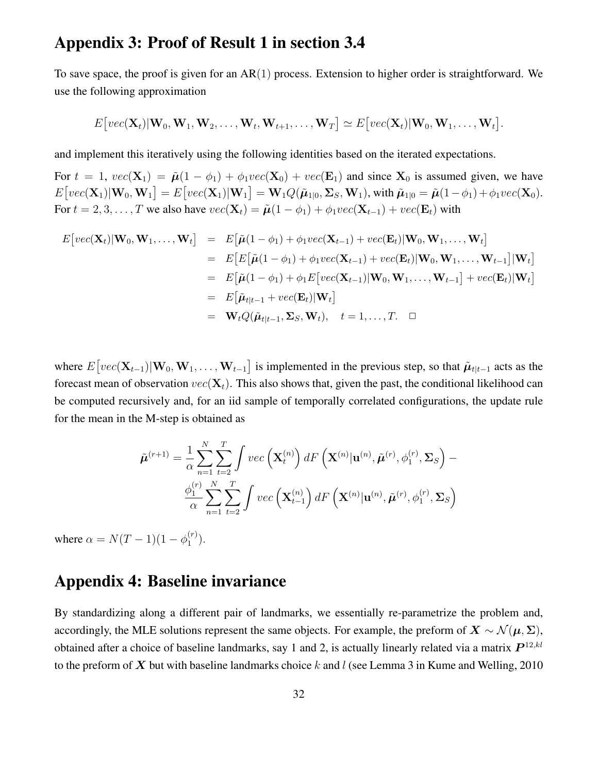#### Appendix 3: Proof of Result 1 in section 3.4

To save space, the proof is given for an  $AR(1)$  process. Extension to higher order is straightforward. We use the following approximation

$$
E\big[vec(\mathbf{X}_t)|\mathbf{W}_0,\mathbf{W}_1,\mathbf{W}_2,\ldots,\mathbf{W}_t,\mathbf{W}_{t+1},\ldots,\mathbf{W}_T\big]\simeq E\big[vec(\mathbf{X}_t)|\mathbf{W}_0,\mathbf{W}_1,\ldots,\mathbf{W}_t\big].
$$

and implement this iteratively using the following identities based on the iterated expectations.

For  $t = 1$ ,  $vec(\mathbf{X}_1) = \tilde{\boldsymbol{\mu}}(1 - \phi_1) + \phi_1 vec(\mathbf{X}_0) + vec(\mathbf{E}_1)$  and since  $\mathbf{X}_0$  is assumed given, we have  $E\big[vec(\textbf{X}_1)|\textbf{W}_0, \textbf{W}_1\big] = E\big[vec(\textbf{X}_1)|\textbf{W}_1\big] = \textbf{W}_1Q(\tilde{\boldsymbol{\mu}}_{1|0}, \boldsymbol{\Sigma}_S, \textbf{W}_1), \text{with } \tilde{\boldsymbol{\mu}}_{1|0} = \tilde{\boldsymbol{\mu}}(1-\phi_1) + \phi_1 vec(\textbf{X}_0).$ For  $t = 2, 3, \ldots, T$  we also have  $vec(\mathbf{X}_t) = \tilde{\boldsymbol{\mu}}(1 - \phi_1) + \phi_1 vec(\mathbf{X}_{t-1}) + vec(\mathbf{E}_t)$  with

$$
E[vec(\mathbf{X}_t)|\mathbf{W}_0, \mathbf{W}_1, \dots, \mathbf{W}_t] = E[\tilde{\boldsymbol{\mu}}(1 - \phi_1) + \phi_1 vec(\mathbf{X}_{t-1}) + vec(\mathbf{E}_t)|\mathbf{W}_0, \mathbf{W}_1, \dots, \mathbf{W}_t]
$$
  
\n
$$
= E[E[\tilde{\boldsymbol{\mu}}(1 - \phi_1) + \phi_1 vec(\mathbf{X}_{t-1}) + vec(\mathbf{E}_t)|\mathbf{W}_0, \mathbf{W}_1, \dots, \mathbf{W}_{t-1}]|\mathbf{W}_t]
$$
  
\n
$$
= E[\tilde{\boldsymbol{\mu}}(1 - \phi_1) + \phi_1 E[vec(\mathbf{X}_{t-1})|\mathbf{W}_0, \mathbf{W}_1, \dots, \mathbf{W}_{t-1}] + vec(\mathbf{E}_t)|\mathbf{W}_t]
$$
  
\n
$$
= E[\tilde{\boldsymbol{\mu}}_{t|t-1} + vec(\mathbf{E}_t)|\mathbf{W}_t]
$$
  
\n
$$
= \mathbf{W}_t Q(\tilde{\boldsymbol{\mu}}_{t|t-1}, \mathbf{\Sigma}_S, \mathbf{W}_t), \quad t = 1, \dots, T. \quad \Box
$$

where  $E[vec(\mathbf{X}_{t-1})|\mathbf{W}_0, \mathbf{W}_1, \dots, \mathbf{W}_{t-1}]$  is implemented in the previous step, so that  $\tilde{\boldsymbol{\mu}}_{t|t-1}$  acts as the forecast mean of observation  $vec(\mathbf{X}_t)$ . This also shows that, given the past, the conditional likelihood can be computed recursively and, for an iid sample of temporally correlated configurations, the update rule for the mean in the M-step is obtained as

$$
\tilde{\boldsymbol{\mu}}^{(r+1)} = \frac{1}{\alpha} \sum_{n=1}^{N} \sum_{t=2}^{T} \int vec\left(\mathbf{X}_{t}^{(n)}\right) dF\left(\mathbf{X}^{(n)}|\mathbf{u}^{(n)}, \tilde{\boldsymbol{\mu}}^{(r)}, \phi_{1}^{(r)}, \boldsymbol{\Sigma}_{S}\right) - \frac{\phi_{1}^{(r)}}{\alpha} \sum_{n=1}^{N} \sum_{t=2}^{T} \int vec\left(\mathbf{X}_{t-1}^{(n)}\right) dF\left(\mathbf{X}^{(n)}|\mathbf{u}^{(n)}, \tilde{\boldsymbol{\mu}}^{(r)}, \phi_{1}^{(r)}, \boldsymbol{\Sigma}_{S}\right)
$$

where  $\alpha = N(T - 1)(1 - \phi_1^{(r)})$  $\binom{(r)}{1}$ .

#### Appendix 4: Baseline invariance

By standardizing along a different pair of landmarks, we essentially re-parametrize the problem and, accordingly, the MLE solutions represent the same objects. For example, the preform of  $X \sim \mathcal{N}(\mu, \Sigma)$ , obtained after a choice of baseline landmarks, say 1 and 2, is actually linearly related via a matrix  $P^{12,kl}$ to the preform of  $X$  but with baseline landmarks choice k and l (see Lemma 3 in Kume and Welling, 2010)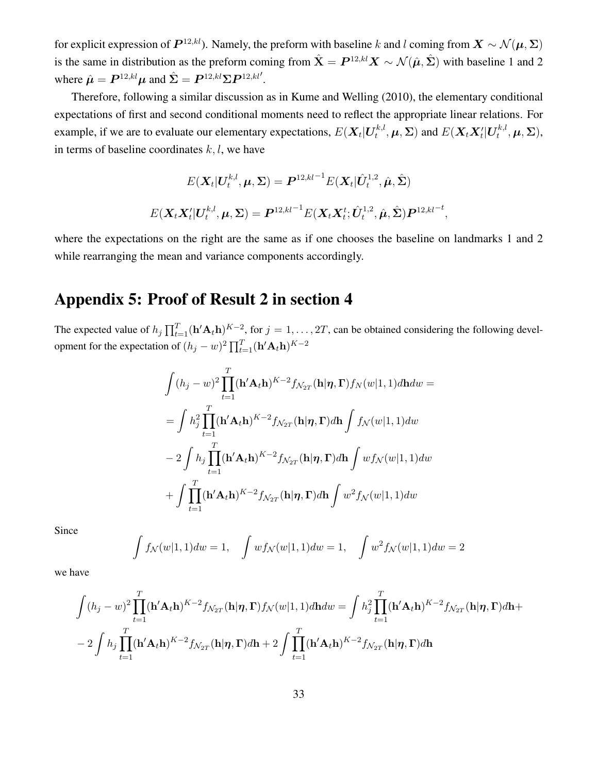for explicit expression of  $P^{12,kl}$ ). Namely, the preform with baseline k and l coming from  $X \sim \mathcal{N}(\mu, \Sigma)$ is the same in distribution as the preform coming from  $\hat{X} = P^{12,kl} X \sim \mathcal{N}(\hat{\mu}, \hat{\Sigma})$  with baseline 1 and 2 where  $\hat{\boldsymbol{\mu}} = \boldsymbol{P}^{12,kl} \boldsymbol{\mu}$  and  $\hat{\boldsymbol{\Sigma}} = \boldsymbol{P}^{12,kl} \boldsymbol{\Sigma} \boldsymbol{P}^{12,kl'}$ .

Therefore, following a similar discussion as in Kume and Welling (2010), the elementary conditional expectations of first and second conditional moments need to reflect the appropriate linear relations. For example, if we are to evaluate our elementary expectations,  $E(\boldsymbol{X}_t|\boldsymbol{U}_t^{k,l})$  $\mathcal{F}_t^{k,l}, \boldsymbol{\mu}, \boldsymbol{\Sigma})$  and  $E(\boldsymbol{X}_t\boldsymbol{X}_t'|\boldsymbol{U}_t^{k,l})$  $t^{k,l}_t, \boldsymbol \mu, \boldsymbol \Sigma),$ in terms of baseline coordinates  $k, l$ , we have

$$
E(\mathbf{X}_t|\mathbf{U}_t^{k,l}, \boldsymbol{\mu}, \boldsymbol{\Sigma}) = \boldsymbol{P}^{12,kl-1} E(\mathbf{X}_t|\hat{\boldsymbol{U}}_t^{1,2}, \hat{\boldsymbol{\mu}}, \hat{\boldsymbol{\Sigma}})
$$

$$
E(\mathbf{X}_t\mathbf{X}_t'|\mathbf{U}_t^{k,l}, \boldsymbol{\mu}, \boldsymbol{\Sigma}) = \boldsymbol{P}^{12,kl-1} E(\mathbf{X}_t\mathbf{X}_t^t; \hat{\boldsymbol{U}}_t^{1,2}, \hat{\boldsymbol{\mu}}, \hat{\boldsymbol{\Sigma}}) \boldsymbol{P}^{12,kl-1},
$$

where the expectations on the right are the same as if one chooses the baseline on landmarks 1 and 2 while rearranging the mean and variance components accordingly.

#### Appendix 5: Proof of Result 2 in section 4

The expected value of  $h_j \prod_{t=1}^T (\mathbf{h}' \mathbf{A}_t \mathbf{h})^{K-2}$ , for  $j = 1, ..., 2T$ , can be obtained considering the following development for the expectation of  $(h_j - w)^2 \prod_{t=1}^T (\mathbf{h}' \mathbf{A}_t \mathbf{h})^{K-2}$ 

$$
\int (h_j - w)^2 \prod_{t=1}^T (\mathbf{h}' \mathbf{A}_t \mathbf{h})^{K-2} f_{\mathcal{N}_{2T}}(\mathbf{h} | \boldsymbol{\eta}, \boldsymbol{\Gamma}) f_N(w | 1, 1) d\mathbf{h} dw =
$$
\n
$$
= \int h_j^2 \prod_{t=1}^T (\mathbf{h}' \mathbf{A}_t \mathbf{h})^{K-2} f_{\mathcal{N}_{2T}}(\mathbf{h} | \boldsymbol{\eta}, \boldsymbol{\Gamma}) d\mathbf{h} \int f_N(w | 1, 1) dw
$$
\n
$$
- 2 \int h_j \prod_{t=1}^T (\mathbf{h}' \mathbf{A}_t \mathbf{h})^{K-2} f_{\mathcal{N}_{2T}}(\mathbf{h} | \boldsymbol{\eta}, \boldsymbol{\Gamma}) d\mathbf{h} \int w f_N(w | 1, 1) dw
$$
\n
$$
+ \int \prod_{t=1}^T (\mathbf{h}' \mathbf{A}_t \mathbf{h})^{K-2} f_{\mathcal{N}_{2T}}(\mathbf{h} | \boldsymbol{\eta}, \boldsymbol{\Gamma}) d\mathbf{h} \int w^2 f_N(w | 1, 1) dw
$$

Since

$$
\int f_{\mathcal{N}}(w|1,1)dw = 1, \quad \int wf_{\mathcal{N}}(w|1,1)dw = 1, \quad \int w^2 f_{\mathcal{N}}(w|1,1)dw = 2
$$

we have

$$
\int (h_j - w)^2 \prod_{t=1}^T (\mathbf{h}' \mathbf{A}_t \mathbf{h})^{K-2} f_{\mathcal{N}_{2T}}(\mathbf{h} | \boldsymbol{\eta}, \boldsymbol{\Gamma}) f_{\mathcal{N}}(w | 1, 1) d\mathbf{h} dw = \int h_j^2 \prod_{t=1}^T (\mathbf{h}' \mathbf{A}_t \mathbf{h})^{K-2} f_{\mathcal{N}_{2T}}(\mathbf{h} | \boldsymbol{\eta}, \boldsymbol{\Gamma}) d\mathbf{h} +
$$
  
- 2  $\int h_j \prod_{t=1}^T (\mathbf{h}' \mathbf{A}_t \mathbf{h})^{K-2} f_{\mathcal{N}_{2T}}(\mathbf{h} | \boldsymbol{\eta}, \boldsymbol{\Gamma}) d\mathbf{h} + 2 \int \prod_{t=1}^T (\mathbf{h}' \mathbf{A}_t \mathbf{h})^{K-2} f_{\mathcal{N}_{2T}}(\mathbf{h} | \boldsymbol{\eta}, \boldsymbol{\Gamma}) d\mathbf{h}$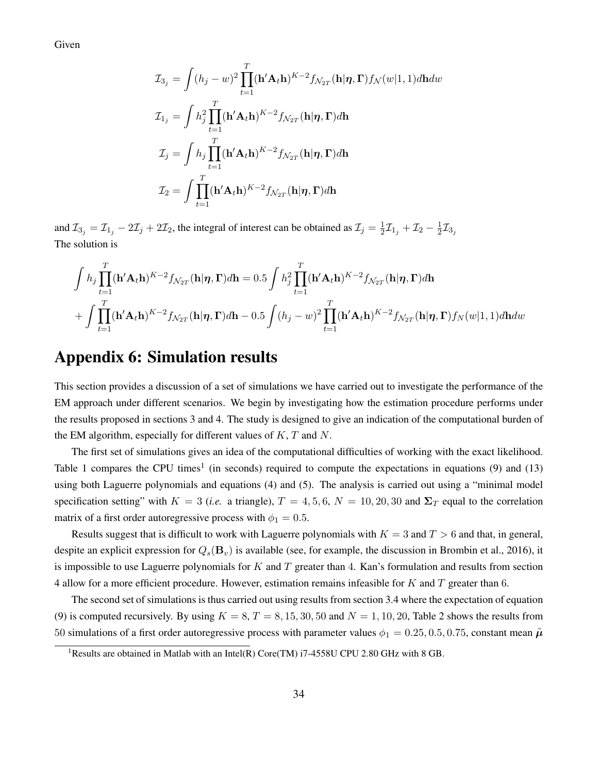Given

$$
\mathcal{I}_{3_j} = \int (h_j - w)^2 \prod_{t=1}^T (\mathbf{h}' \mathbf{A}_t \mathbf{h})^{K-2} f_{\mathcal{N}_{2T}}(\mathbf{h} | \boldsymbol{\eta}, \boldsymbol{\Gamma}) f_{\mathcal{N}}(w | 1, 1) d\mathbf{h} dw
$$
  

$$
\mathcal{I}_{1_j} = \int h_j^2 \prod_{t=1}^T (\mathbf{h}' \mathbf{A}_t \mathbf{h})^{K-2} f_{\mathcal{N}_{2T}}(\mathbf{h} | \boldsymbol{\eta}, \boldsymbol{\Gamma}) d\mathbf{h}
$$
  

$$
\mathcal{I}_j = \int h_j \prod_{t=1}^T (\mathbf{h}' \mathbf{A}_t \mathbf{h})^{K-2} f_{\mathcal{N}_{2T}}(\mathbf{h} | \boldsymbol{\eta}, \boldsymbol{\Gamma}) d\mathbf{h}
$$
  

$$
\mathcal{I}_2 = \int \prod_{t=1}^T (\mathbf{h}' \mathbf{A}_t \mathbf{h})^{K-2} f_{\mathcal{N}_{2T}}(\mathbf{h} | \boldsymbol{\eta}, \boldsymbol{\Gamma}) d\mathbf{h}
$$

and  $\mathcal{I}_{3_j} = \mathcal{I}_{1_j} - 2\mathcal{I}_j + 2\mathcal{I}_2$ , the integral of interest can be obtained as  $\mathcal{I}_j = \frac{1}{2}$  $\frac{1}{2}\mathcal{I}_{1_j} + \mathcal{I}_2 - \frac{1}{2}$  $\frac{1}{2}\mathcal{I}_{3_j}$ The solution is

$$
\int h_j \prod_{t=1}^T (\mathbf{h}' \mathbf{A}_t \mathbf{h})^{K-2} f_{\mathcal{N}_{2T}}(\mathbf{h} | \boldsymbol{\eta}, \boldsymbol{\Gamma}) d\mathbf{h} = 0.5 \int h_j^2 \prod_{t=1}^T (\mathbf{h}' \mathbf{A}_t \mathbf{h})^{K-2} f_{\mathcal{N}_{2T}}(\mathbf{h} | \boldsymbol{\eta}, \boldsymbol{\Gamma}) d\mathbf{h}
$$

$$
+ \int \prod_{t=1}^T (\mathbf{h}' \mathbf{A}_t \mathbf{h})^{K-2} f_{\mathcal{N}_{2T}}(\mathbf{h} | \boldsymbol{\eta}, \boldsymbol{\Gamma}) d\mathbf{h} - 0.5 \int (h_j - w)^2 \prod_{t=1}^T (\mathbf{h}' \mathbf{A}_t \mathbf{h})^{K-2} f_{\mathcal{N}_{2T}}(\mathbf{h} | \boldsymbol{\eta}, \boldsymbol{\Gamma}) f_N(w | 1, 1) d\mathbf{h} dw
$$

#### Appendix 6: Simulation results

This section provides a discussion of a set of simulations we have carried out to investigate the performance of the EM approach under different scenarios. We begin by investigating how the estimation procedure performs under the results proposed in sections 3 and 4. The study is designed to give an indication of the computational burden of the EM algorithm, especially for different values of  $K, T$  and  $N$ .

The first set of simulations gives an idea of the computational difficulties of working with the exact likelihood. Table 1 compares the CPU times<sup>1</sup> (in seconds) required to compute the expectations in equations (9) and (13) using both Laguerre polynomials and equations (4) and (5). The analysis is carried out using a "minimal model specification setting" with  $K = 3$  (*i.e.* a triangle),  $T = 4, 5, 6, N = 10, 20, 30$  and  $\Sigma_T$  equal to the correlation matrix of a first order autoregressive process with  $\phi_1 = 0.5$ .

Results suggest that is difficult to work with Laguerre polynomials with  $K = 3$  and  $T > 6$  and that, in general, despite an explicit expression for  $Q_s(\mathbf{B}_v)$  is available (see, for example, the discussion in Brombin et al., 2016), it is impossible to use Laguerre polynomials for  $K$  and  $T$  greater than 4. Kan's formulation and results from section 4 allow for a more efficient procedure. However, estimation remains infeasible for  $K$  and  $T$  greater than 6.

The second set of simulations is thus carried out using results from section 3.4 where the expectation of equation (9) is computed recursively. By using  $K = 8, T = 8, 15, 30, 50$  and  $N = 1, 10, 20$ , Table 2 shows the results from 50 simulations of a first order autoregressive process with parameter values  $\phi_1 = 0.25, 0.5, 0.75$ , constant mean  $\tilde{\mu}$ 

<sup>&</sup>lt;sup>1</sup>Results are obtained in Matlab with an Intel(R) Core(TM) i7-4558U CPU 2.80 GHz with 8 GB.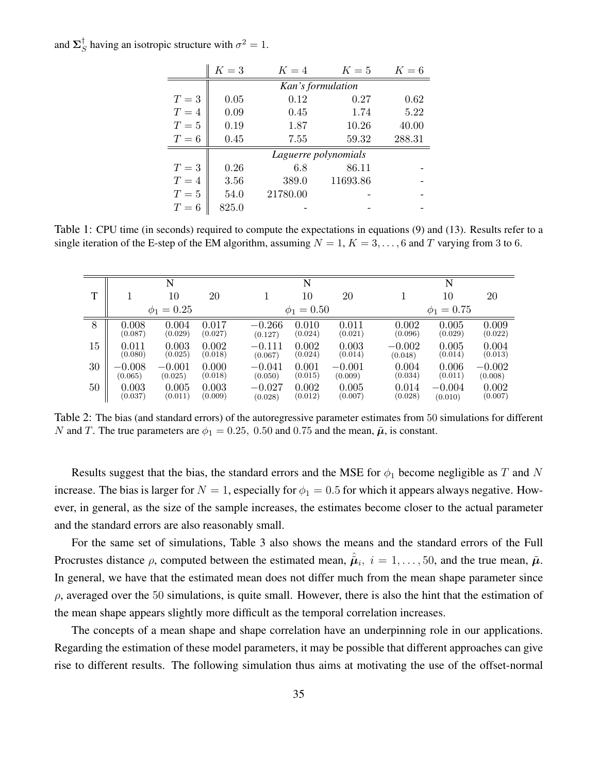and  $\Sigma_{\mathcal{S}}^{\dagger}$  $\int_S^{\dagger}$  having an isotropic structure with  $\sigma^2 = 1$ .

|       | $K=3$                | $K=4$    | $K=5$    | $K=6$  |  |  |  |  |
|-------|----------------------|----------|----------|--------|--|--|--|--|
|       | Kan's formulation    |          |          |        |  |  |  |  |
| $T=3$ | 0.05                 | 0.12     | 0.27     | 0.62   |  |  |  |  |
| $T=4$ | 0.09                 | 0.45     | 1.74     | 5.22   |  |  |  |  |
| $T=5$ | 0.19                 | 1.87     | 10.26    | 40.00  |  |  |  |  |
| $T=6$ | 0.45                 | 7.55     | 59.32    | 288.31 |  |  |  |  |
|       | Laguerre polynomials |          |          |        |  |  |  |  |
| $T=3$ | 0.26                 | 6.8      | 86.11    |        |  |  |  |  |
| $T=4$ | 3.56                 | 389.0    | 11693.86 |        |  |  |  |  |
| $T=5$ | 54.0                 | 21780.00 |          |        |  |  |  |  |
| $T=6$ | 825.0                |          |          |        |  |  |  |  |

Table 1: CPU time (in seconds) required to compute the expectations in equations (9) and (13). Results refer to a single iteration of the E-step of the EM algorithm, assuming  $N = 1, K = 3, \ldots, 6$  and T varying from 3 to 6.

|    |          | N               |         |          | N               |          |          | N               |          |
|----|----------|-----------------|---------|----------|-----------------|----------|----------|-----------------|----------|
| T  |          | 10              | 20      |          | 10              | 20       |          | 10              | 20       |
|    |          | $\phi_1 = 0.25$ |         |          | $\phi_1 = 0.50$ |          |          | $\phi_1 = 0.75$ |          |
| 8  | 0.008    | 0.004           | 0.017   | $-0.266$ | 0.010           | 0.011    | 0.002    | 0.005           | 0.009    |
|    | (0.087)  | (0.029)         | (0.027) | (0.127)  | (0.024)         | (0.021)  | (0.096)  | (0.029)         | (0.022)  |
| 15 | 0.011    | 0.003           | 0.002   | $-0.111$ | 0.002           | 0.003    | $-0.002$ | 0.005           | 0.004    |
|    | (0.080)  | (0.025)         | (0.018) | (0.067)  | (0.024)         | (0.014)  | (0.048)  | (0.014)         | (0.013)  |
| 30 | $-0.008$ | $-0.001$        | 0.000   | $-0.041$ | 0.001           | $-0.001$ | 0.004    | 0.006           | $-0.002$ |
|    | (0.065)  | (0.025)         | (0.018) | (0.050)  | (0.015)         | (0.009)  | (0.034)  | (0.011)         | (0.008)  |
| 50 | 0.003    | 0.005           | 0.003   | $-0.027$ | 0.002           | 0.005    | 0.014    | $-0.004$        | 0.002    |
|    | (0.037)  | (0.011)         | (0.009) | (0.028)  | (0.012)         | (0.007)  | (0.028)  | (0.010)         | (0.007)  |

Table 2: The bias (and standard errors) of the autoregressive parameter estimates from 50 simulations for different N and T. The true parameters are  $\phi_1 = 0.25, 0.50$  and 0.75 and the mean,  $\tilde{\mu}$ , is constant.

Results suggest that the bias, the standard errors and the MSE for  $\phi_1$  become negligible as T and N increase. The bias is larger for  $N = 1$ , especially for  $\phi_1 = 0.5$  for which it appears always negative. However, in general, as the size of the sample increases, the estimates become closer to the actual parameter and the standard errors are also reasonably small.

For the same set of simulations, Table 3 also shows the means and the standard errors of the Full Procrustes distance  $\rho$ , computed between the estimated mean,  $\hat{\mu}_i$ ,  $i = 1, \ldots, 50$ , and the true mean,  $\tilde{\mu}$ . In general, we have that the estimated mean does not differ much from the mean shape parameter since  $\rho$ , averaged over the 50 simulations, is quite small. However, there is also the hint that the estimation of the mean shape appears slightly more difficult as the temporal correlation increases.

The concepts of a mean shape and shape correlation have an underpinning role in our applications. Regarding the estimation of these model parameters, it may be possible that different approaches can give rise to different results. The following simulation thus aims at motivating the use of the offset-normal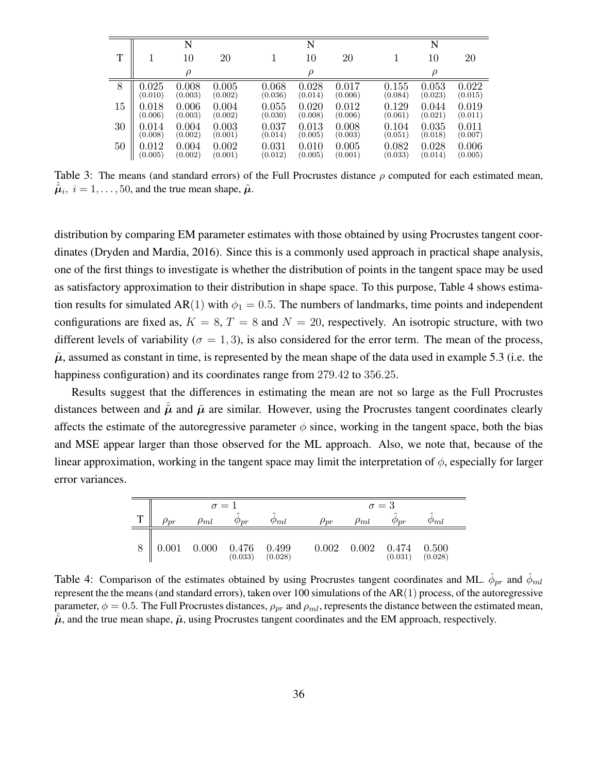|    |             | N       |         |         | N         |         |         | N       |         |
|----|-------------|---------|---------|---------|-----------|---------|---------|---------|---------|
| T  |             | 10      | 20      |         | $10\,$    | 20      |         | 10      | 20      |
|    |             | $\rho$  |         |         | $\varrho$ |         |         | $\rho$  |         |
| 8  | 0.025       | 0.008   | 0.005   | 0.068   | 0.028     | 0.017   | 0.155   | 0.053   | 0.022   |
|    | (0.010)     | (0.003) | (0.002) | (0.036) | (0.014)   | (0.006) | (0.084) | (0.023) | (0.015) |
| 15 | $\,0.018\,$ | 0.006   | 0.004   | 0.055   | 0.020     | 0.012   | 0.129   | 0.044   | 0.019   |
|    | (0.006)     | (0.003) | (0.002) | (0.030) | (0.008)   | (0.006) | (0.061) | (0.021) | (0.011) |
| 30 | 0.014       | 0.004   | 0.003   | 0.037   | 0.013     | 0.008   | 0.104   | 0.035   | 0.011   |
|    | (0.008)     | (0.002) | (0.001) | (0.014) | (0.005)   | (0.003) | (0.051) | (0.018) | (0.007) |
| 50 | $\,0.012\,$ | 0.004   | 0.002   | 0.031   | 0.010     | 0.005   | 0.082   | 0.028   | 0.006   |
|    | (0.005)     | (0.002) | (0.001) | (0.012) | (0.005)   | (0.001) | (0.033) | (0.014) | (0.005) |

Table 3: The means (and standard errors) of the Full Procrustes distance  $\rho$  computed for each estimated mean,  $\hat{\tilde{\boldsymbol{\mu}}}_i$ ,  $i = 1, \dots, 50$ , and the true mean shape,  $\tilde{\boldsymbol{\mu}}$ .

distribution by comparing EM parameter estimates with those obtained by using Procrustes tangent coordinates (Dryden and Mardia, 2016). Since this is a commonly used approach in practical shape analysis, one of the first things to investigate is whether the distribution of points in the tangent space may be used as satisfactory approximation to their distribution in shape space. To this purpose, Table 4 shows estimation results for simulated AR(1) with  $\phi_1 = 0.5$ . The numbers of landmarks, time points and independent configurations are fixed as,  $K = 8$ ,  $T = 8$  and  $N = 20$ , respectively. An isotropic structure, with two different levels of variability ( $\sigma = 1, 3$ ), is also considered for the error term. The mean of the process,  $\tilde{\mu}$ , assumed as constant in time, is represented by the mean shape of the data used in example 5.3 (i.e. the happiness configuration) and its coordinates range from 279.42 to 356.25.

Results suggest that the differences in estimating the mean are not so large as the Full Procrustes distances between and  $\hat{\mu}$  and  $\tilde{\mu}$  are similar. However, using the Procrustes tangent coordinates clearly affects the estimate of the autoregressive parameter  $\phi$  since, working in the tangent space, both the bias and MSE appear larger than those observed for the ML approach. Also, we note that, because of the linear approximation, working in the tangent space may limit the interpretation of  $\phi$ , especially for larger error variances.

|   |             |             | $\sigma = 1$                                                  |                  |             |             | $\sigma = 3$         |                  |  |
|---|-------------|-------------|---------------------------------------------------------------|------------------|-------------|-------------|----------------------|------------------|--|
| T | $\rho_{pr}$ | $\rho_{ml}$ | ́<br>$\varphi_{\bm{p r}}$                                     | $\varphi_{ml}$   | $\rho_{pr}$ | $\rho_{ml}$ | $\varphi_{\bm{p r}}$ | $\varphi_{ml}$   |  |
|   | 0.001       | 0.000       | $\begin{array}{c} 0.476 \\ \text{\small (0.033)} \end{array}$ | 0.499<br>(0.028) | 0.002       | $0.002\,$   | 0.474<br>(0.031)     | 0.500<br>(0.028) |  |

Table 4: Comparison of the estimates obtained by using Procrustes tangent coordinates and ML.  $\hat{\phi}_{pr}$  and  $\hat{\phi}_{ml}$ represent the the means (and standard errors), taken over 100 simulations of the  $AR(1)$  process, of the autoregressive parameter,  $\phi = 0.5$ . The Full Procrustes distances,  $\rho_{pr}$  and  $\rho_{ml}$ , represents the distance between the estimated mean,  $\tilde{\mu}$ , and the true mean shape,  $\tilde{\mu}$ , using Procrustes tangent coordinates and the EM approach, respectively.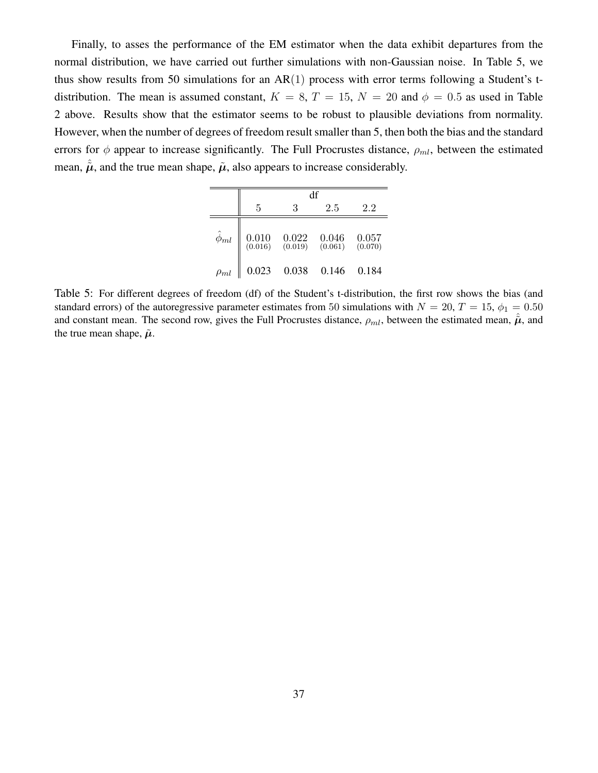Finally, to asses the performance of the EM estimator when the data exhibit departures from the normal distribution, we have carried out further simulations with non-Gaussian noise. In Table 5, we thus show results from 50 simulations for an  $AR(1)$  process with error terms following a Student's tdistribution. The mean is assumed constant,  $K = 8$ ,  $T = 15$ ,  $N = 20$  and  $\phi = 0.5$  as used in Table 2 above. Results show that the estimator seems to be robust to plausible deviations from normality. However, when the number of degrees of freedom result smaller than 5, then both the bias and the standard errors for  $\phi$  appear to increase significantly. The Full Procrustes distance,  $\rho_{ml}$ , between the estimated mean,  $\hat{\mu}$ , and the true mean shape,  $\tilde{\mu}$ , also appears to increase considerably.

|                   | df                                                     |                                                |                      |                  |  |  |  |  |
|-------------------|--------------------------------------------------------|------------------------------------------------|----------------------|------------------|--|--|--|--|
|                   | 5                                                      | 3                                              | 2.5                  | 2.2              |  |  |  |  |
| $\hat{\phi}_{ml}$ | $\begin{array}{c} 0.010 \\ \text{(0.016)} \end{array}$ | $\begin{array}{c} 0.022 \ (0.019) \end{array}$ | $0.046$<br>$(0.061)$ | 0.057<br>(0.070) |  |  |  |  |
| $\rho_{ml}$       | 0.023                                                  | 0.038                                          | 0.146                | 0.184            |  |  |  |  |

Table 5: For different degrees of freedom (df) of the Student's t-distribution, the first row shows the bias (and standard errors) of the autoregressive parameter estimates from 50 simulations with  $N = 20$ ,  $T = 15$ ,  $\phi_1 = 0.50$ and constant mean. The second row, gives the Full Procrustes distance,  $\rho_{ml}$ , between the estimated mean,  $\hat{\mu}$ , and the true mean shape,  $\tilde{\mu}$ .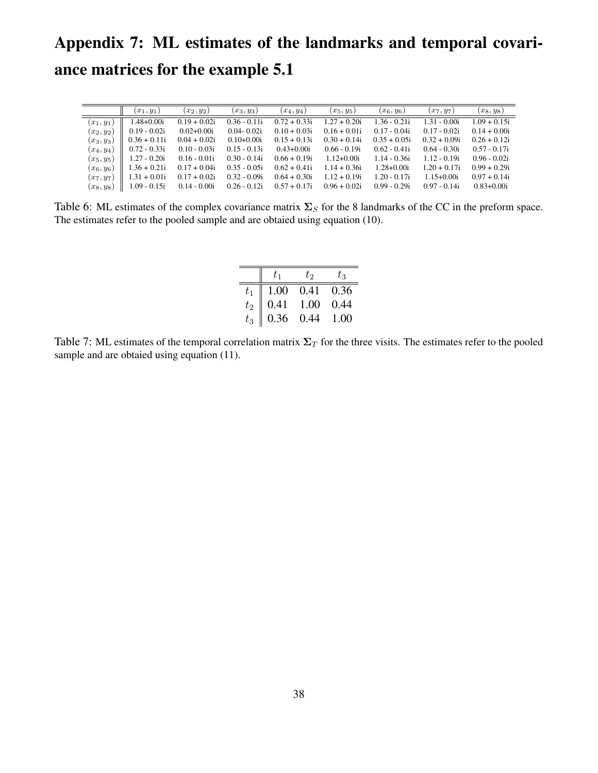## Appendix 7: ML estimates of the landmarks and temporal covariance matrices for the example 5.1

|              | $(x_1, y_1)$   | $(x_2,y_2)$    | $(x_3, y_3)$   | $(x_4, y_4)$   | $(x_5, y_5)$   | $(x_6, y_6)$   | $(x_7, y_7)$   | $(x_8, y_8)$   |
|--------------|----------------|----------------|----------------|----------------|----------------|----------------|----------------|----------------|
| $(x_1,y_1)$  | 1.48+0.00i     | $0.19 + 0.02i$ | $0.36 - 0.11i$ | $0.72 + 0.33i$ | $1.27 + 0.20i$ | $1.36 - 0.21i$ | $1.31 - 0.00i$ | $1.09 + 0.15i$ |
| $(x_2,y_2)$  | $0.19 - 0.02i$ | $0.02 + 0.00i$ | $0.04 - 0.02i$ | $0.10 + 0.03i$ | $0.16 + 0.01i$ | $0.17 - 0.04i$ | $0.17 - 0.02i$ | $0.14 + 0.00i$ |
| $(x_3, y_3)$ | $0.36 + 0.11i$ | $0.04 + 0.02i$ | $0.10+0.00i$   | $0.15 + 0.13i$ | $0.30 + 0.14i$ | $0.35 + 0.05i$ | $0.32 + 0.09i$ | $0.26 + 0.12i$ |
| $(x_4, y_4)$ | $0.72 - 0.33i$ | $0.10 - 0.03i$ | $0.15 - 0.13i$ | $0.43+0.00i$   | $0.66 - 0.19i$ | $0.62 - 0.41i$ | $0.64 - 0.30i$ | $0.57 - 0.17i$ |
| $(x_5,y_5)$  | 1.27 - 0.20i   | $0.16 - 0.01i$ | $0.30 - 0.14i$ | $0.66 + 0.19i$ | $1.12 + 0.00i$ | $1.14 - 0.36i$ | $1.12 - 0.19i$ | $0.96 - 0.02i$ |
| $(x_6,y_6)$  | $1.36 + 0.21i$ | $0.17 + 0.04i$ | $0.35 - 0.05i$ | $0.62 + 0.41i$ | $1.14 + 0.36i$ | $1.28 + 0.00i$ | $1.20 + 0.17i$ | $0.99 + 0.29i$ |
| $(x_7, y_7)$ | $1.31 + 0.01i$ | $0.17 + 0.02i$ | $0.32 - 0.09i$ | $0.64 + 0.30i$ | $1.12 + 0.19i$ | $1.20 - 0.17i$ | $1.15 + 0.00i$ | $0.97 + 0.14i$ |
| $(x_8, y_8)$ | l.09 - 0.15i   | $0.14 - 0.00i$ | $0.26 - 0.12i$ | $0.57 + 0.17i$ | $0.96 + 0.02i$ | $0.99 - 0.29i$ | $0.97 - 0.14i$ | $0.83 + 0.00i$ |

Table 6: ML estimates of the complex covariance matrix  $\Sigma_S$  for the 8 landmarks of the CC in the preform space. The estimates refer to the pooled sample and are obtaied using equation (10).

|         |      | to   | Ŀз   |
|---------|------|------|------|
|         | 1.00 | 0.41 | 0.36 |
| $t_2$   | 0.41 | 1.00 | 0.44 |
| $t_{3}$ | 0.36 | 0.44 | 1.00 |

Table 7: ML estimates of the temporal correlation matrix  $\Sigma_T$  for the three visits. The estimates refer to the pooled sample and are obtaied using equation  $(11)$ .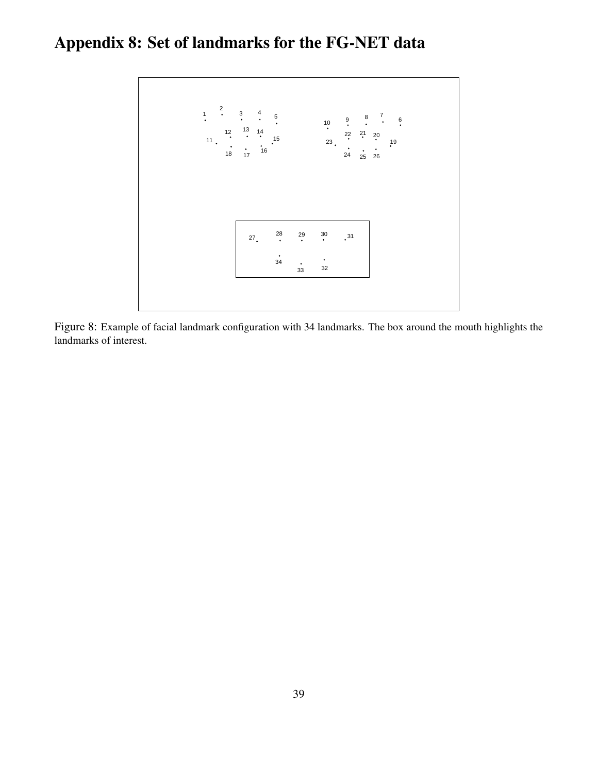## Appendix 8: Set of landmarks for the FG-NET data



Figure 8: Example of facial landmark configuration with 34 landmarks. The box around the mouth highlights the landmarks of interest.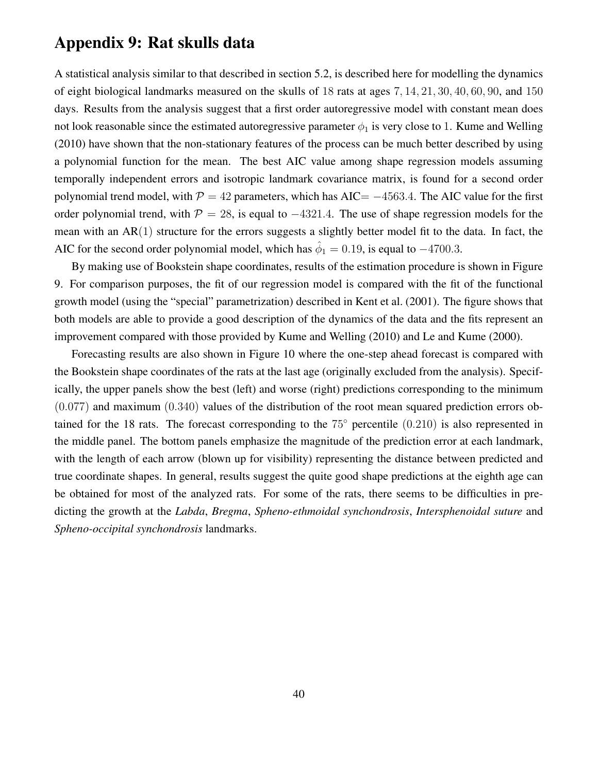#### Appendix 9: Rat skulls data

A statistical analysis similar to that described in section 5.2, is described here for modelling the dynamics of eight biological landmarks measured on the skulls of 18 rats at ages 7, 14, 21, 30, 40, 60, 90, and 150 days. Results from the analysis suggest that a first order autoregressive model with constant mean does not look reasonable since the estimated autoregressive parameter  $\phi_1$  is very close to 1. Kume and Welling (2010) have shown that the non-stationary features of the process can be much better described by using a polynomial function for the mean. The best AIC value among shape regression models assuming temporally independent errors and isotropic landmark covariance matrix, is found for a second order polynomial trend model, with  $P = 42$  parameters, which has AIC=  $-4563.4$ . The AIC value for the first order polynomial trend, with  $\mathcal{P} = 28$ , is equal to  $-4321.4$ . The use of shape regression models for the mean with an AR(1) structure for the errors suggests a slightly better model fit to the data. In fact, the AIC for the second order polynomial model, which has  $\hat{\phi}_1 = 0.19$ , is equal to  $-4700.3$ .

By making use of Bookstein shape coordinates, results of the estimation procedure is shown in Figure 9. For comparison purposes, the fit of our regression model is compared with the fit of the functional growth model (using the "special" parametrization) described in Kent et al. (2001). The figure shows that both models are able to provide a good description of the dynamics of the data and the fits represent an improvement compared with those provided by Kume and Welling (2010) and Le and Kume (2000).

Forecasting results are also shown in Figure 10 where the one-step ahead forecast is compared with the Bookstein shape coordinates of the rats at the last age (originally excluded from the analysis). Specifically, the upper panels show the best (left) and worse (right) predictions corresponding to the minimum (0.077) and maximum (0.340) values of the distribution of the root mean squared prediction errors obtained for the 18 rats. The forecast corresponding to the 75◦ percentile (0.210) is also represented in the middle panel. The bottom panels emphasize the magnitude of the prediction error at each landmark, with the length of each arrow (blown up for visibility) representing the distance between predicted and true coordinate shapes. In general, results suggest the quite good shape predictions at the eighth age can be obtained for most of the analyzed rats. For some of the rats, there seems to be difficulties in predicting the growth at the *Labda*, *Bregma*, *Spheno-ethmoidal synchondrosis*, *Intersphenoidal suture* and *Spheno-occipital synchondrosis* landmarks.